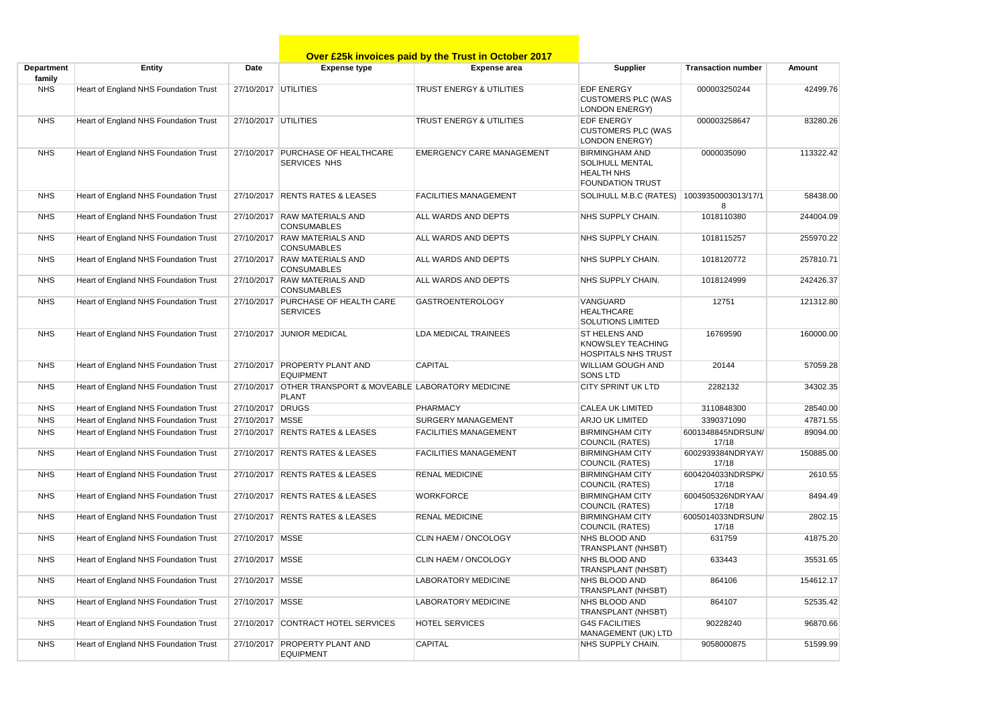|                      |                                       |                      |                                                                           | Over £25k invoices paid by the Trust in October 2017 |                                                                                                 |                            |           |
|----------------------|---------------------------------------|----------------------|---------------------------------------------------------------------------|------------------------------------------------------|-------------------------------------------------------------------------------------------------|----------------------------|-----------|
| Department<br>family | <b>Entity</b>                         | Date                 | <b>Expense type</b>                                                       | <b>Expense area</b>                                  | <b>Supplier</b>                                                                                 | <b>Transaction number</b>  | Amount    |
| <b>NHS</b>           | Heart of England NHS Foundation Trust | 27/10/2017 UTILITIES |                                                                           | TRUST ENERGY & UTILITIES                             | <b>EDF ENERGY</b><br><b>CUSTOMERS PLC (WAS</b><br><b>LONDON ENERGY)</b>                         | 000003250244               | 42499.76  |
| <b>NHS</b>           | Heart of England NHS Foundation Trust | 27/10/2017 UTILITIES |                                                                           | TRUST ENERGY & UTILITIES                             | <b>EDF ENERGY</b><br><b>CUSTOMERS PLC (WAS</b><br><b>LONDON ENERGY)</b>                         | 000003258647               | 83280.26  |
| <b>NHS</b>           | Heart of England NHS Foundation Trust |                      | 27/10/2017 PURCHASE OF HEALTHCARE<br>SERVICES NHS                         | <b>EMERGENCY CARE MANAGEMENT</b>                     | <b>BIRMINGHAM AND</b><br><b>SOLIHULL MENTAL</b><br><b>HEALTH NHS</b><br><b>FOUNDATION TRUST</b> | 0000035090                 | 113322.42 |
| <b>NHS</b>           | Heart of England NHS Foundation Trust |                      | 27/10/2017 RENTS RATES & LEASES                                           | <b>FACILITIES MANAGEMENT</b>                         | SOLIHULL M.B.C (RATES)                                                                          | 10039350003013/17/1<br>8   | 58438.00  |
| <b>NHS</b>           | Heart of England NHS Foundation Trust |                      | 27/10/2017 RAW MATERIALS AND<br><b>CONSUMABLES</b>                        | ALL WARDS AND DEPTS                                  | NHS SUPPLY CHAIN.                                                                               | 1018110380                 | 244004.09 |
| <b>NHS</b>           | Heart of England NHS Foundation Trust |                      | 27/10/2017 RAW MATERIALS AND<br><b>CONSUMABLES</b>                        | ALL WARDS AND DEPTS                                  | NHS SUPPLY CHAIN.                                                                               | 1018115257                 | 255970.22 |
| <b>NHS</b>           | Heart of England NHS Foundation Trust |                      | 27/10/2017 RAW MATERIALS AND<br><b>CONSUMABLES</b>                        | ALL WARDS AND DEPTS                                  | NHS SUPPLY CHAIN.                                                                               | 1018120772                 | 257810.71 |
| <b>NHS</b>           | Heart of England NHS Foundation Trust |                      | 27/10/2017 RAW MATERIALS AND<br><b>CONSUMABLES</b>                        | ALL WARDS AND DEPTS                                  | NHS SUPPLY CHAIN.                                                                               | 1018124999                 | 242426.37 |
| <b>NHS</b>           | Heart of England NHS Foundation Trust |                      | 27/10/2017 PURCHASE OF HEALTH CARE<br><b>SERVICES</b>                     | <b>GASTROENTEROLOGY</b>                              | VANGUARD<br><b>HEALTHCARE</b><br><b>SOLUTIONS LIMITED</b>                                       | 12751                      | 121312.80 |
| <b>NHS</b>           | Heart of England NHS Foundation Trust |                      | 27/10/2017 JUNIOR MEDICAL                                                 | <b>LDA MEDICAL TRAINEES</b>                          | <b>ST HELENS AND</b><br>KNOWSLEY TEACHING<br><b>HOSPITALS NHS TRUST</b>                         | 16769590                   | 160000.00 |
| <b>NHS</b>           | Heart of England NHS Foundation Trust |                      | 27/10/2017 PROPERTY PLANT AND<br><b>EQUIPMENT</b>                         | <b>CAPITAL</b>                                       | <b>WILLIAM GOUGH AND</b><br><b>SONS LTD</b>                                                     | 20144                      | 57059.28  |
| <b>NHS</b>           | Heart of England NHS Foundation Trust |                      | 27/10/2017 OTHER TRANSPORT & MOVEABLE LABORATORY MEDICINE<br><b>PLANT</b> |                                                      | <b>CITY SPRINT UK LTD</b>                                                                       | 2282132                    | 34302.35  |
| <b>NHS</b>           | Heart of England NHS Foundation Trust | 27/10/2017 DRUGS     |                                                                           | <b>PHARMACY</b>                                      | <b>CALEA UK LIMITED</b>                                                                         | 3110848300                 | 28540.00  |
| <b>NHS</b>           | Heart of England NHS Foundation Trust | 27/10/2017 MSSE      |                                                                           | <b>SURGERY MANAGEMENT</b>                            | <b>ARJO UK LIMITED</b>                                                                          | 3390371090                 | 47871.55  |
| <b>NHS</b>           | Heart of England NHS Foundation Trust |                      | 27/10/2017 RENTS RATES & LEASES                                           | <b>FACILITIES MANAGEMENT</b>                         | <b>BIRMINGHAM CITY</b><br><b>COUNCIL (RATES)</b>                                                | 6001348845NDRSUN/<br>17/18 | 89094.00  |
| <b>NHS</b>           | Heart of England NHS Foundation Trust |                      | 27/10/2017 RENTS RATES & LEASES                                           | <b>FACILITIES MANAGEMENT</b>                         | <b>BIRMINGHAM CITY</b><br><b>COUNCIL (RATES)</b>                                                | 6002939384NDRYAY/<br>17/18 | 150885.00 |
| <b>NHS</b>           | Heart of England NHS Foundation Trust |                      | 27/10/2017 RENTS RATES & LEASES                                           | <b>RENAL MEDICINE</b>                                | <b>BIRMINGHAM CITY</b><br><b>COUNCIL (RATES)</b>                                                | 6004204033NDRSPK/<br>17/18 | 2610.55   |
| <b>NHS</b>           | Heart of England NHS Foundation Trust |                      | 27/10/2017 RENTS RATES & LEASES                                           | <b>WORKFORCE</b>                                     | <b>BIRMINGHAM CITY</b><br><b>COUNCIL (RATES)</b>                                                | 6004505326NDRYAA/<br>17/18 | 8494.49   |
| <b>NHS</b>           | Heart of England NHS Foundation Trust |                      | 27/10/2017 RENTS RATES & LEASES                                           | <b>RENAL MEDICINE</b>                                | <b>BIRMINGHAM CITY</b><br><b>COUNCIL (RATES)</b>                                                | 6005014033NDRSUN/<br>17/18 | 2802.15   |
| <b>NHS</b>           | Heart of England NHS Foundation Trust | 27/10/2017 MSSE      |                                                                           | CLIN HAEM / ONCOLOGY                                 | NHS BLOOD AND<br><b>TRANSPLANT (NHSBT)</b>                                                      | 631759                     | 41875.20  |
| <b>NHS</b>           | Heart of England NHS Foundation Trust | 27/10/2017   MSSE    |                                                                           | CLIN HAEM / ONCOLOGY                                 | NHS BLOOD AND<br>TRANSPLANT (NHSBT)                                                             | 633443                     | 35531.65  |
| <b>NHS</b>           | Heart of England NHS Foundation Trust | 27/10/2017 MSSE      |                                                                           | LABORATORY MEDICINE                                  | NHS BLOOD AND<br>TRANSPLANT (NHSBT)                                                             | 864106                     | 154612.17 |
| <b>NHS</b>           | Heart of England NHS Foundation Trust | 27/10/2017 MSSE      |                                                                           | LABORATORY MEDICINE                                  | NHS BLOOD AND<br><b>TRANSPLANT (NHSBT)</b>                                                      | 864107                     | 52535.42  |
| <b>NHS</b>           | Heart of England NHS Foundation Trust |                      | 27/10/2017 CONTRACT HOTEL SERVICES                                        | <b>HOTEL SERVICES</b>                                | <b>G4S FACILITIES</b><br>MANAGEMENT (UK) LTD                                                    | 90228240                   | 96870.66  |
| <b>NHS</b>           | Heart of England NHS Foundation Trust |                      | 27/10/2017 PROPERTY PLANT AND<br><b>EQUIPMENT</b>                         | <b>CAPITAL</b>                                       | NHS SUPPLY CHAIN.                                                                               | 9058000875                 | 51599.99  |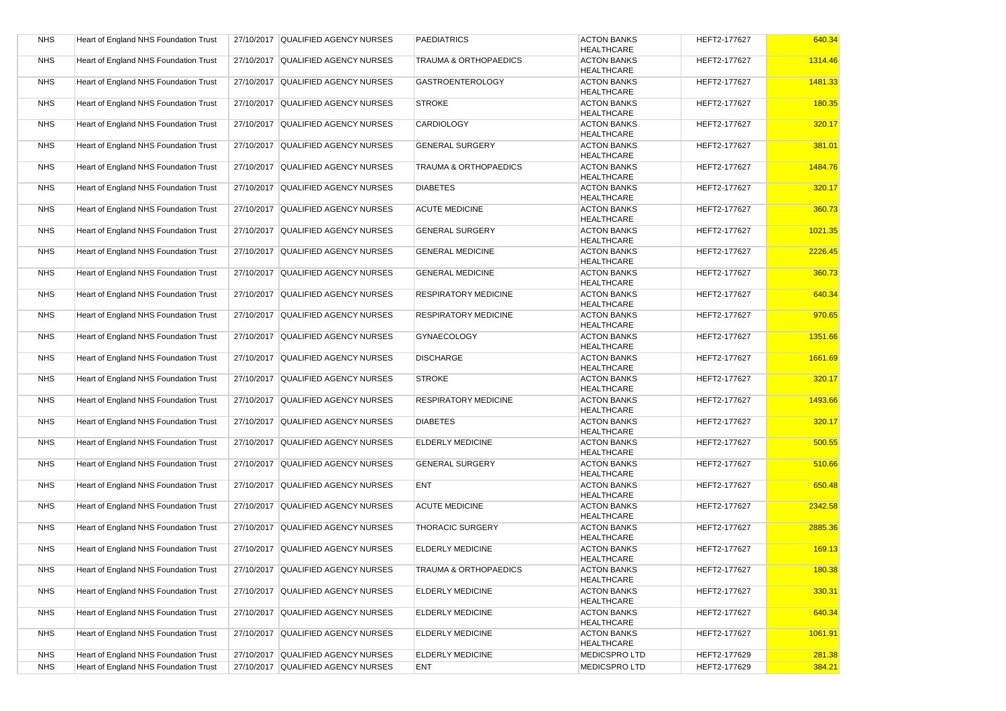| <b>NHS</b> | <b>Heart of England NHS Foundation Trust</b> | 27/10/2017 QUALIFIED AGENCY NURSES | <b>PAEDIATRICS</b>               | <b>ACTON BANKS</b><br><b>HEALTHCARE</b> | HEFT2-177627 | 640.34  |
|------------|----------------------------------------------|------------------------------------|----------------------------------|-----------------------------------------|--------------|---------|
| <b>NHS</b> | Heart of England NHS Foundation Trust        | 27/10/2017 QUALIFIED AGENCY NURSES | <b>TRAUMA &amp; ORTHOPAEDICS</b> | <b>ACTON BANKS</b><br><b>HEALTHCARE</b> | HEFT2-177627 | 1314.46 |
| <b>NHS</b> | Heart of England NHS Foundation Trust        | 27/10/2017 QUALIFIED AGENCY NURSES | <b>GASTROENTEROLOGY</b>          | <b>ACTON BANKS</b><br><b>HEALTHCARE</b> | HEFT2-177627 | 1481.33 |
| <b>NHS</b> | Heart of England NHS Foundation Trust        | 27/10/2017 QUALIFIED AGENCY NURSES | <b>STROKE</b>                    | <b>ACTON BANKS</b><br><b>HEALTHCARE</b> | HEFT2-177627 | 180.35  |
| <b>NHS</b> | Heart of England NHS Foundation Trust        | 27/10/2017 QUALIFIED AGENCY NURSES | <b>CARDIOLOGY</b>                | <b>ACTON BANKS</b><br><b>HEALTHCARE</b> | HEFT2-177627 | 320.17  |
| <b>NHS</b> | Heart of England NHS Foundation Trust        | 27/10/2017 QUALIFIED AGENCY NURSES | <b>GENERAL SURGERY</b>           | <b>ACTON BANKS</b><br><b>HEALTHCARE</b> | HEFT2-177627 | 381.01  |
| <b>NHS</b> | Heart of England NHS Foundation Trust        | 27/10/2017 QUALIFIED AGENCY NURSES | <b>TRAUMA &amp; ORTHOPAEDICS</b> | <b>ACTON BANKS</b><br><b>HEALTHCARE</b> | HEFT2-177627 | 1484.76 |
| <b>NHS</b> | Heart of England NHS Foundation Trust        | 27/10/2017 QUALIFIED AGENCY NURSES | <b>DIABETES</b>                  | <b>ACTON BANKS</b><br><b>HEALTHCARE</b> | HEFT2-177627 | 320.17  |
| <b>NHS</b> | Heart of England NHS Foundation Trust        | 27/10/2017 QUALIFIED AGENCY NURSES | <b>ACUTE MEDICINE</b>            | <b>ACTON BANKS</b><br><b>HEALTHCARE</b> | HEFT2-177627 | 360.73  |
| <b>NHS</b> | Heart of England NHS Foundation Trust        | 27/10/2017 QUALIFIED AGENCY NURSES | <b>GENERAL SURGERY</b>           | <b>ACTON BANKS</b><br><b>HEALTHCARE</b> | HEFT2-177627 | 1021.35 |
| <b>NHS</b> | Heart of England NHS Foundation Trust        | 27/10/2017 QUALIFIED AGENCY NURSES | <b>GENERAL MEDICINE</b>          | <b>ACTON BANKS</b><br><b>HEALTHCARE</b> | HEFT2-177627 | 2226.45 |
| <b>NHS</b> | Heart of England NHS Foundation Trust        | 27/10/2017 QUALIFIED AGENCY NURSES | <b>GENERAL MEDICINE</b>          | <b>ACTON BANKS</b><br><b>HEALTHCARE</b> | HEFT2-177627 | 360.73  |
| <b>NHS</b> | Heart of England NHS Foundation Trust        | 27/10/2017 QUALIFIED AGENCY NURSES | <b>RESPIRATORY MEDICINE</b>      | <b>ACTON BANKS</b><br><b>HEALTHCARE</b> | HEFT2-177627 | 640.34  |
| <b>NHS</b> | Heart of England NHS Foundation Trust        | 27/10/2017 QUALIFIED AGENCY NURSES | <b>RESPIRATORY MEDICINE</b>      | <b>ACTON BANKS</b><br><b>HEALTHCARE</b> | HEFT2-177627 | 970.65  |
| <b>NHS</b> | Heart of England NHS Foundation Trust        | 27/10/2017 QUALIFIED AGENCY NURSES | <b>GYNAECOLOGY</b>               | <b>ACTON BANKS</b><br><b>HEALTHCARE</b> | HEFT2-177627 | 1351.66 |
| <b>NHS</b> | Heart of England NHS Foundation Trust        | 27/10/2017 QUALIFIED AGENCY NURSES | <b>DISCHARGE</b>                 | <b>ACTON BANKS</b><br><b>HEALTHCARE</b> | HEFT2-177627 | 1661.69 |
| <b>NHS</b> | Heart of England NHS Foundation Trust        | 27/10/2017 QUALIFIED AGENCY NURSES | <b>STROKE</b>                    | <b>ACTON BANKS</b><br><b>HEALTHCARE</b> | HEFT2-177627 | 320.17  |
| <b>NHS</b> | Heart of England NHS Foundation Trust        | 27/10/2017 QUALIFIED AGENCY NURSES | <b>RESPIRATORY MEDICINE</b>      | <b>ACTON BANKS</b><br><b>HEALTHCARE</b> | HEFT2-177627 | 1493.66 |
| <b>NHS</b> | Heart of England NHS Foundation Trust        | 27/10/2017 QUALIFIED AGENCY NURSES | <b>DIABETES</b>                  | <b>ACTON BANKS</b><br><b>HEALTHCARE</b> | HEFT2-177627 | 320.17  |
| <b>NHS</b> | Heart of England NHS Foundation Trust        | 27/10/2017 QUALIFIED AGENCY NURSES | <b>ELDERLY MEDICINE</b>          | <b>ACTON BANKS</b><br><b>HEALTHCARE</b> | HEFT2-177627 | 500.55  |
| <b>NHS</b> | <b>Heart of England NHS Foundation Trust</b> | 27/10/2017 QUALIFIED AGENCY NURSES | <b>GENERAL SURGERY</b>           | <b>ACTON BANKS</b><br><b>HEALTHCARE</b> | HEFT2-177627 | 510.66  |
| <b>NHS</b> | Heart of England NHS Foundation Trust        | 27/10/2017 QUALIFIED AGENCY NURSES | <b>ENT</b>                       | <b>ACTON BANKS</b><br><b>HEALTHCARE</b> | HEFT2-177627 | 650.48  |
| <b>NHS</b> | Heart of England NHS Foundation Trust        | 27/10/2017 QUALIFIED AGENCY NURSES | <b>ACUTE MEDICINE</b>            | <b>ACTON BANKS</b><br><b>HEALTHCARE</b> | HEFT2-177627 | 2342.58 |
| <b>NHS</b> | Heart of England NHS Foundation Trust        | 27/10/2017 QUALIFIED AGENCY NURSES | <b>THORACIC SURGERY</b>          | <b>ACTON BANKS</b><br><b>HEALTHCARE</b> | HEFT2-177627 | 2885.36 |
| <b>NHS</b> | Heart of England NHS Foundation Trust        | 27/10/2017 QUALIFIED AGENCY NURSES | <b>ELDERLY MEDICINE</b>          | <b>ACTON BANKS</b><br><b>HEALTHCARE</b> | HEFT2-177627 | 169.13  |
| <b>NHS</b> | Heart of England NHS Foundation Trust        | 27/10/2017 QUALIFIED AGENCY NURSES | <b>TRAUMA &amp; ORTHOPAEDICS</b> | <b>ACTON BANKS</b><br><b>HEALTHCARE</b> | HEFT2-177627 | 180.38  |
| <b>NHS</b> | Heart of England NHS Foundation Trust        | 27/10/2017 QUALIFIED AGENCY NURSES | <b>ELDERLY MEDICINE</b>          | <b>ACTON BANKS</b><br><b>HEALTHCARE</b> | HEFT2-177627 | 330.31  |
| <b>NHS</b> | Heart of England NHS Foundation Trust        | 27/10/2017 QUALIFIED AGENCY NURSES | <b>ELDERLY MEDICINE</b>          | <b>ACTON BANKS</b><br><b>HEALTHCARE</b> | HEFT2-177627 | 640.34  |
| <b>NHS</b> | Heart of England NHS Foundation Trust        | 27/10/2017 QUALIFIED AGENCY NURSES | <b>ELDERLY MEDICINE</b>          | <b>ACTON BANKS</b><br><b>HEALTHCARE</b> | HEFT2-177627 | 1061.91 |
| <b>NHS</b> | Heart of England NHS Foundation Trust        | 27/10/2017 QUALIFIED AGENCY NURSES | <b>ELDERLY MEDICINE</b>          | <b>MEDICSPROLTD</b>                     | HEFT2-177629 | 281.38  |
| <b>NHS</b> | Heart of England NHS Foundation Trust        | 27/10/2017 QUALIFIED AGENCY NURSES | <b>ENT</b>                       | <b>MEDICSPROLTD</b>                     | HEFT2-177629 | 384.21  |
|            |                                              |                                    |                                  |                                         |              |         |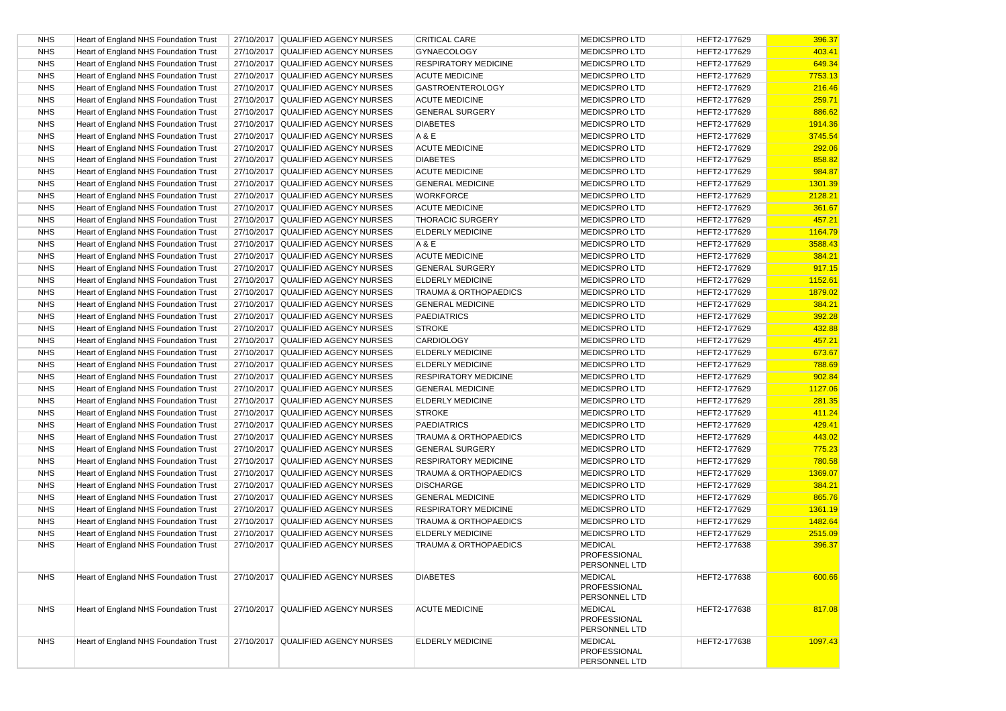| <b>NHS</b> | Heart of England NHS Foundation Trust        | 27/10/2017 QUALIFIED AGENCY NURSES | <b>CRITICAL CARE</b>             | <b>MEDICSPRO LTD</b>                                   | HEFT2-177629 | 396.37  |
|------------|----------------------------------------------|------------------------------------|----------------------------------|--------------------------------------------------------|--------------|---------|
| <b>NHS</b> | Heart of England NHS Foundation Trust        | 27/10/2017 QUALIFIED AGENCY NURSES | <b>GYNAECOLOGY</b>               | <b>MEDICSPROLTD</b>                                    | HEFT2-177629 | 403.41  |
| <b>NHS</b> | Heart of England NHS Foundation Trust        | 27/10/2017 QUALIFIED AGENCY NURSES | <b>RESPIRATORY MEDICINE</b>      | <b>MEDICSPRO LTD</b>                                   | HEFT2-177629 | 649.34  |
| <b>NHS</b> | Heart of England NHS Foundation Trust        | 27/10/2017 QUALIFIED AGENCY NURSES | <b>ACUTE MEDICINE</b>            | <b>MEDICSPRO LTD</b>                                   | HEFT2-177629 | 7753.13 |
| <b>NHS</b> | Heart of England NHS Foundation Trust        | 27/10/2017 QUALIFIED AGENCY NURSES | <b>GASTROENTEROLOGY</b>          | <b>MEDICSPRO LTD</b>                                   | HEFT2-177629 | 216.46  |
| <b>NHS</b> | Heart of England NHS Foundation Trust        | 27/10/2017 QUALIFIED AGENCY NURSES | <b>ACUTE MEDICINE</b>            | <b>MEDICSPRO LTD</b>                                   | HEFT2-177629 | 259.71  |
| <b>NHS</b> | Heart of England NHS Foundation Trust        | 27/10/2017 QUALIFIED AGENCY NURSES | <b>GENERAL SURGERY</b>           | <b>MEDICSPROLTD</b>                                    | HEFT2-177629 | 886.62  |
| <b>NHS</b> | Heart of England NHS Foundation Trust        | 27/10/2017 QUALIFIED AGENCY NURSES | <b>DIABETES</b>                  | <b>MEDICSPROLTD</b>                                    | HEFT2-177629 | 1914.36 |
| <b>NHS</b> | Heart of England NHS Foundation Trust        | 27/10/2017 QUALIFIED AGENCY NURSES | A & E                            | <b>MEDICSPRO LTD</b>                                   | HEFT2-177629 | 3745.54 |
| <b>NHS</b> | Heart of England NHS Foundation Trust        | 27/10/2017 QUALIFIED AGENCY NURSES | <b>ACUTE MEDICINE</b>            | <b>MEDICSPRO LTD</b>                                   | HEFT2-177629 | 292.06  |
| <b>NHS</b> | Heart of England NHS Foundation Trust        | 27/10/2017 QUALIFIED AGENCY NURSES | <b>DIABETES</b>                  | <b>MEDICSPROLTD</b>                                    | HEFT2-177629 | 858.82  |
| <b>NHS</b> | Heart of England NHS Foundation Trust        | 27/10/2017 QUALIFIED AGENCY NURSES | <b>ACUTE MEDICINE</b>            | <b>MEDICSPRO LTD</b>                                   | HEFT2-177629 | 984.87  |
| <b>NHS</b> | Heart of England NHS Foundation Trust        | 27/10/2017 QUALIFIED AGENCY NURSES | <b>GENERAL MEDICINE</b>          | <b>MEDICSPRO LTD</b>                                   | HEFT2-177629 | 1301.39 |
| <b>NHS</b> | Heart of England NHS Foundation Trust        | 27/10/2017 QUALIFIED AGENCY NURSES | <b>WORKFORCE</b>                 | <b>MEDICSPROLTD</b>                                    | HEFT2-177629 | 2128.21 |
| <b>NHS</b> | Heart of England NHS Foundation Trust        | 27/10/2017 QUALIFIED AGENCY NURSES | <b>ACUTE MEDICINE</b>            | <b>MEDICSPRO LTD</b>                                   | HEFT2-177629 | 361.67  |
| <b>NHS</b> | Heart of England NHS Foundation Trust        | 27/10/2017 QUALIFIED AGENCY NURSES | <b>THORACIC SURGERY</b>          | <b>MEDICSPRO LTD</b>                                   | HEFT2-177629 | 457.21  |
| <b>NHS</b> | Heart of England NHS Foundation Trust        | 27/10/2017 QUALIFIED AGENCY NURSES | <b>ELDERLY MEDICINE</b>          | <b>MEDICSPRO LTD</b>                                   | HEFT2-177629 | 1164.79 |
| <b>NHS</b> | Heart of England NHS Foundation Trust        | 27/10/2017 QUALIFIED AGENCY NURSES | A & E                            | <b>MEDICSPROLTD</b>                                    | HEFT2-177629 | 3588.43 |
| <b>NHS</b> | Heart of England NHS Foundation Trust        | 27/10/2017 QUALIFIED AGENCY NURSES | <b>ACUTE MEDICINE</b>            | <b>MEDICSPRO LTD</b>                                   | HEFT2-177629 | 384.21  |
| <b>NHS</b> | Heart of England NHS Foundation Trust        | 27/10/2017 QUALIFIED AGENCY NURSES | <b>GENERAL SURGERY</b>           | <b>MEDICSPRO LTD</b>                                   | HEFT2-177629 | 917.15  |
| <b>NHS</b> | Heart of England NHS Foundation Trust        | 27/10/2017 QUALIFIED AGENCY NURSES | <b>ELDERLY MEDICINE</b>          | <b>MEDICSPROLTD</b>                                    | HEFT2-177629 | 1152.61 |
| <b>NHS</b> | Heart of England NHS Foundation Trust        | 27/10/2017 QUALIFIED AGENCY NURSES | <b>TRAUMA &amp; ORTHOPAEDICS</b> | <b>MEDICSPROLTD</b>                                    | HEFT2-177629 | 1879.02 |
| <b>NHS</b> | Heart of England NHS Foundation Trust        | 27/10/2017 QUALIFIED AGENCY NURSES | <b>GENERAL MEDICINE</b>          | <b>MEDICSPRO LTD</b>                                   | HEFT2-177629 | 384.21  |
| <b>NHS</b> | Heart of England NHS Foundation Trust        | 27/10/2017 QUALIFIED AGENCY NURSES | <b>PAEDIATRICS</b>               | <b>MEDICSPROLTD</b>                                    | HEFT2-177629 | 392.28  |
| <b>NHS</b> | Heart of England NHS Foundation Trust        | 27/10/2017 QUALIFIED AGENCY NURSES | <b>STROKE</b>                    | <b>MEDICSPROLTD</b>                                    | HEFT2-177629 | 432.88  |
| <b>NHS</b> | Heart of England NHS Foundation Trust        | 27/10/2017 QUALIFIED AGENCY NURSES | <b>CARDIOLOGY</b>                | <b>MEDICSPROLTD</b>                                    | HEFT2-177629 | 457.21  |
| <b>NHS</b> | Heart of England NHS Foundation Trust        | 27/10/2017 QUALIFIED AGENCY NURSES | <b>ELDERLY MEDICINE</b>          | <b>MEDICSPRO LTD</b>                                   | HEFT2-177629 | 673.67  |
| <b>NHS</b> | Heart of England NHS Foundation Trust        | 27/10/2017 QUALIFIED AGENCY NURSES | <b>ELDERLY MEDICINE</b>          | <b>MEDICSPRO LTD</b>                                   | HEFT2-177629 | 788.69  |
| <b>NHS</b> | Heart of England NHS Foundation Trust        | 27/10/2017 QUALIFIED AGENCY NURSES | <b>RESPIRATORY MEDICINE</b>      | <b>MEDICSPROLTD</b>                                    | HEFT2-177629 | 902.84  |
| <b>NHS</b> | Heart of England NHS Foundation Trust        | 27/10/2017 QUALIFIED AGENCY NURSES | <b>GENERAL MEDICINE</b>          | <b>MEDICSPRO LTD</b>                                   | HEFT2-177629 | 1127.06 |
| <b>NHS</b> | Heart of England NHS Foundation Trust        | 27/10/2017 QUALIFIED AGENCY NURSES | <b>ELDERLY MEDICINE</b>          | <b>MEDICSPRO LTD</b>                                   | HEFT2-177629 | 281.35  |
| <b>NHS</b> | Heart of England NHS Foundation Trust        | 27/10/2017 QUALIFIED AGENCY NURSES | <b>STROKE</b>                    | <b>MEDICSPRO LTD</b>                                   | HEFT2-177629 | 411.24  |
| <b>NHS</b> | Heart of England NHS Foundation Trust        | 27/10/2017 QUALIFIED AGENCY NURSES | <b>PAEDIATRICS</b>               | <b>MEDICSPROLTD</b>                                    | HEFT2-177629 | 429.41  |
| <b>NHS</b> | Heart of England NHS Foundation Trust        | 27/10/2017 QUALIFIED AGENCY NURSES | <b>TRAUMA &amp; ORTHOPAEDICS</b> | <b>MEDICSPRO LTD</b>                                   | HEFT2-177629 | 443.02  |
| <b>NHS</b> | Heart of England NHS Foundation Trust        | 27/10/2017 QUALIFIED AGENCY NURSES | <b>GENERAL SURGERY</b>           | <b>MEDICSPRO LTD</b>                                   | HEFT2-177629 | 775.23  |
| <b>NHS</b> | Heart of England NHS Foundation Trust        | 27/10/2017 QUALIFIED AGENCY NURSES | <b>RESPIRATORY MEDICINE</b>      | <b>MEDICSPROLTD</b>                                    | HEFT2-177629 | 780.58  |
| <b>NHS</b> | Heart of England NHS Foundation Trust        | 27/10/2017 QUALIFIED AGENCY NURSES | <b>TRAUMA &amp; ORTHOPAEDICS</b> | <b>MEDICSPROLTD</b>                                    | HEFT2-177629 | 1369.07 |
| <b>NHS</b> | Heart of England NHS Foundation Trust        | 27/10/2017 QUALIFIED AGENCY NURSES | <b>DISCHARGE</b>                 | <b>MEDICSPRO LTD</b>                                   | HEFT2-177629 | 384.21  |
| <b>NHS</b> | Heart of England NHS Foundation Trust        | 27/10/2017 QUALIFIED AGENCY NURSES | <b>GENERAL MEDICINE</b>          | <b>MEDICSPRO LTD</b>                                   | HEFT2-177629 | 865.76  |
| <b>NHS</b> | Heart of England NHS Foundation Trust        | 27/10/2017 QUALIFIED AGENCY NURSES | <b>RESPIRATORY MEDICINE</b>      | <b>MEDICSPROLTD</b>                                    | HEFT2-177629 | 1361.19 |
| <b>NHS</b> | Heart of England NHS Foundation Trust        | 27/10/2017 QUALIFIED AGENCY NURSES | <b>TRAUMA &amp; ORTHOPAEDICS</b> | <b>MEDICSPROLTD</b>                                    | HEFT2-177629 | 1482.64 |
| <b>NHS</b> | Heart of England NHS Foundation Trust        | 27/10/2017 QUALIFIED AGENCY NURSES | <b>ELDERLY MEDICINE</b>          | <b>MEDICSPROLTD</b>                                    | HEFT2-177629 | 2515.09 |
| <b>NHS</b> | Heart of England NHS Foundation Trust        | 27/10/2017 QUALIFIED AGENCY NURSES | TRAUMA & ORTHOPAEDICS            | <b>MEDICAL</b>                                         | HEFT2-177638 | 396.37  |
|            |                                              |                                    |                                  | PROFESSIONAL<br>PERSONNEL LTD                          |              |         |
| <b>NHS</b> | Heart of England NHS Foundation Trust        | 27/10/2017 QUALIFIED AGENCY NURSES | <b>DIABETES</b>                  | <b>MEDICAL</b><br><b>PROFESSIONAL</b><br>PERSONNEL LTD | HEFT2-177638 | 600.66  |
| <b>NHS</b> | <b>Heart of England NHS Foundation Trust</b> | 27/10/2017 QUALIFIED AGENCY NURSES | <b>ACUTE MEDICINE</b>            | <b>MEDICAL</b><br><b>PROFESSIONAL</b><br>PERSONNEL LTD | HEFT2-177638 | 817.08  |
| <b>NHS</b> | Heart of England NHS Foundation Trust        | 27/10/2017 QUALIFIED AGENCY NURSES | <b>ELDERLY MEDICINE</b>          | <b>MEDICAL</b><br>PROFESSIONAL<br>PERSONNEL LTD        | HEFT2-177638 | 1097.43 |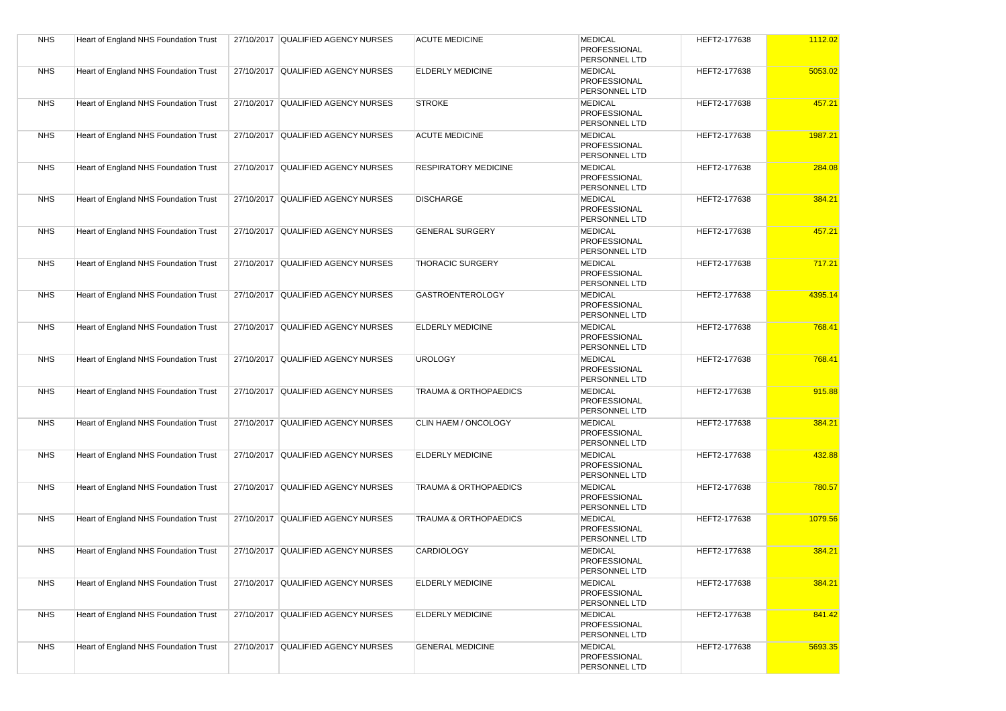| <b>NHS</b> | Heart of England NHS Foundation Trust | 27/10/2017 QUALIFIED AGENCY NURSES | <b>ACUTE MEDICINE</b>            | <b>MEDICAL</b><br>PROFESSIONAL<br>PERSONNEL LTD               | HEFT2-177638 | 1112.02 |
|------------|---------------------------------------|------------------------------------|----------------------------------|---------------------------------------------------------------|--------------|---------|
| <b>NHS</b> | Heart of England NHS Foundation Trust | 27/10/2017 QUALIFIED AGENCY NURSES | <b>ELDERLY MEDICINE</b>          | <b>MEDICAL</b><br><b>PROFESSIONAL</b><br><b>PERSONNEL LTD</b> | HEFT2-177638 | 5053.02 |
| <b>NHS</b> | Heart of England NHS Foundation Trust | 27/10/2017 QUALIFIED AGENCY NURSES | <b>STROKE</b>                    | <b>MEDICAL</b><br>PROFESSIONAL<br>PERSONNEL LTD               | HEFT2-177638 | 457.21  |
| <b>NHS</b> | Heart of England NHS Foundation Trust | 27/10/2017 QUALIFIED AGENCY NURSES | <b>ACUTE MEDICINE</b>            | <b>MEDICAL</b><br>PROFESSIONAL<br><b>PERSONNEL LTD</b>        | HEFT2-177638 | 1987.21 |
| <b>NHS</b> | Heart of England NHS Foundation Trust | 27/10/2017 QUALIFIED AGENCY NURSES | <b>RESPIRATORY MEDICINE</b>      | <b>MEDICAL</b><br>PROFESSIONAL<br>PERSONNEL LTD               | HEFT2-177638 | 284.08  |
| <b>NHS</b> | Heart of England NHS Foundation Trust | 27/10/2017 QUALIFIED AGENCY NURSES | <b>DISCHARGE</b>                 | <b>MEDICAL</b><br><b>PROFESSIONAL</b><br>PERSONNEL LTD        | HEFT2-177638 | 384.21  |
| <b>NHS</b> | Heart of England NHS Foundation Trust | 27/10/2017 QUALIFIED AGENCY NURSES | <b>GENERAL SURGERY</b>           | <b>MEDICAL</b><br><b>PROFESSIONAL</b><br>PERSONNEL LTD        | HEFT2-177638 | 457.21  |
| <b>NHS</b> | Heart of England NHS Foundation Trust | 27/10/2017 QUALIFIED AGENCY NURSES | <b>THORACIC SURGERY</b>          | <b>MEDICAL</b><br><b>PROFESSIONAL</b><br>PERSONNEL LTD        | HEFT2-177638 | 717.21  |
| <b>NHS</b> | Heart of England NHS Foundation Trust | 27/10/2017 QUALIFIED AGENCY NURSES | <b>GASTROENTEROLOGY</b>          | <b>MEDICAL</b><br><b>PROFESSIONAL</b><br>PERSONNEL LTD        | HEFT2-177638 | 4395.14 |
| <b>NHS</b> | Heart of England NHS Foundation Trust | 27/10/2017 QUALIFIED AGENCY NURSES | <b>ELDERLY MEDICINE</b>          | <b>MEDICAL</b><br><b>PROFESSIONAL</b><br>PERSONNEL LTD        | HEFT2-177638 | 768.41  |
| <b>NHS</b> | Heart of England NHS Foundation Trust | 27/10/2017 QUALIFIED AGENCY NURSES | <b>UROLOGY</b>                   | <b>MEDICAL</b><br>PROFESSIONAL<br>PERSONNEL LTD               | HEFT2-177638 | 768.41  |
| <b>NHS</b> | Heart of England NHS Foundation Trust | 27/10/2017 QUALIFIED AGENCY NURSES | <b>TRAUMA &amp; ORTHOPAEDICS</b> | <b>MEDICAL</b><br><b>PROFESSIONAL</b><br><b>PERSONNEL LTD</b> | HEFT2-177638 | 915.88  |
| <b>NHS</b> | Heart of England NHS Foundation Trust | 27/10/2017 QUALIFIED AGENCY NURSES | CLIN HAEM / ONCOLOGY             | <b>MEDICAL</b><br><b>PROFESSIONAL</b><br>PERSONNEL LTD        | HEFT2-177638 | 384.21  |
| <b>NHS</b> | Heart of England NHS Foundation Trust | 27/10/2017 QUALIFIED AGENCY NURSES | <b>ELDERLY MEDICINE</b>          | <b>MEDICAL</b><br><b>PROFESSIONAL</b><br>PERSONNEL LTD        | HEFT2-177638 | 432.88  |
| <b>NHS</b> | Heart of England NHS Foundation Trust | 27/10/2017 QUALIFIED AGENCY NURSES | <b>TRAUMA &amp; ORTHOPAEDICS</b> | <b>MEDICAL</b><br><b>PROFESSIONAL</b><br>PERSONNEL LTD        | HEFT2-177638 | 780.57  |
| <b>NHS</b> | Heart of England NHS Foundation Trust | 27/10/2017 QUALIFIED AGENCY NURSES | <b>TRAUMA &amp; ORTHOPAEDICS</b> | <b>MEDICAL</b><br>PROFESSIONAL<br>PERSONNEL LTD               | HEFT2-177638 | 1079.56 |
| <b>NHS</b> | Heart of England NHS Foundation Trust | 27/10/2017 QUALIFIED AGENCY NURSES | <b>CARDIOLOGY</b>                | <b>MEDICAL</b><br>PROFESSIONAL<br>PERSONNEL LTD               | HEFT2-177638 | 384.21  |
| <b>NHS</b> | Heart of England NHS Foundation Trust | 27/10/2017 QUALIFIED AGENCY NURSES | <b>ELDERLY MEDICINE</b>          | <b>MEDICAL</b><br>PROFESSIONAL<br>PERSONNEL LTD               | HEFT2-177638 | 384.21  |
| <b>NHS</b> | Heart of England NHS Foundation Trust | 27/10/2017 QUALIFIED AGENCY NURSES | <b>ELDERLY MEDICINE</b>          | <b>MEDICAL</b><br>PROFESSIONAL<br>PERSONNEL LTD               | HEFT2-177638 | 841.42  |
| <b>NHS</b> | Heart of England NHS Foundation Trust | 27/10/2017 QUALIFIED AGENCY NURSES | <b>GENERAL MEDICINE</b>          | <b>MEDICAL</b><br>PROFESSIONAL<br>PERSONNEL LTD               | HEFT2-177638 | 5693.35 |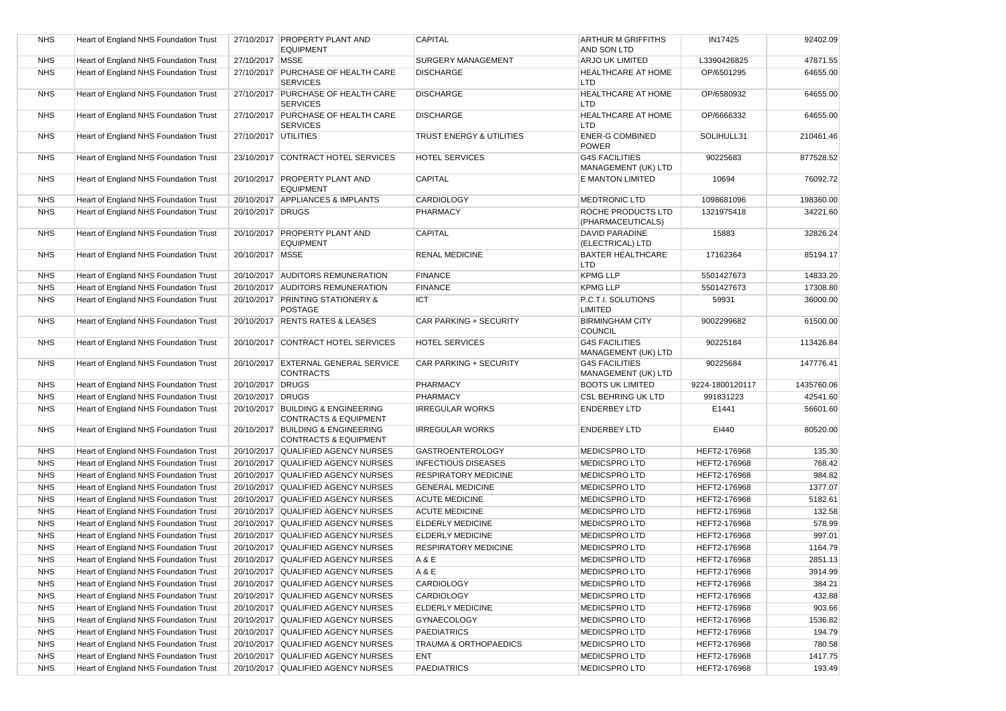| <b>NHS</b> | Heart of England NHS Foundation Trust |                      | 27/10/2017 PROPERTY PLANT AND<br><b>EQUIPMENT</b>                     | CAPITAL                     | <b>ARTHUR M GRIFFITHS</b><br>AND SON LTD     | IN17425         | 92402.09   |
|------------|---------------------------------------|----------------------|-----------------------------------------------------------------------|-----------------------------|----------------------------------------------|-----------------|------------|
| <b>NHS</b> | Heart of England NHS Foundation Trust | 27/10/2017 MSSE      |                                                                       | SURGERY MANAGEMENT          | <b>ARJO UK LIMITED</b>                       | L3390426825     | 47871.55   |
| <b>NHS</b> | Heart of England NHS Foundation Trust |                      | 27/10/2017 PURCHASE OF HEALTH CARE<br><b>SERVICES</b>                 | <b>DISCHARGE</b>            | <b>HEALTHCARE AT HOME</b><br><b>LTD</b>      | OP/6501295      | 64655.00   |
| <b>NHS</b> | Heart of England NHS Foundation Trust |                      | 27/10/2017 PURCHASE OF HEALTH CARE<br><b>SERVICES</b>                 | <b>DISCHARGE</b>            | <b>HEALTHCARE AT HOME</b><br><b>LTD</b>      | OP/6580932      | 64655.00   |
| <b>NHS</b> | Heart of England NHS Foundation Trust |                      | 27/10/2017 PURCHASE OF HEALTH CARE<br><b>SERVICES</b>                 | <b>DISCHARGE</b>            | <b>HEALTHCARE AT HOME</b><br><b>LTD</b>      | OP/6666332      | 64655.00   |
| <b>NHS</b> | Heart of England NHS Foundation Trust | 27/10/2017 UTILITIES |                                                                       | TRUST ENERGY & UTILITIES    | <b>ENER-G COMBINED</b><br><b>POWER</b>       | SOLIHULL31      | 210461.46  |
| <b>NHS</b> | Heart of England NHS Foundation Trust |                      | 23/10/2017 CONTRACT HOTEL SERVICES                                    | <b>HOTEL SERVICES</b>       | <b>G4S FACILITIES</b><br>MANAGEMENT (UK) LTD | 90225683        | 877528.52  |
| <b>NHS</b> | Heart of England NHS Foundation Trust |                      | 20/10/2017 PROPERTY PLANT AND<br><b>EQUIPMENT</b>                     | CAPITAL                     | E MANTON LIMITED                             | 10694           | 76092.72   |
| <b>NHS</b> | Heart of England NHS Foundation Trust |                      | 20/10/2017 APPLIANCES & IMPLANTS                                      | <b>CARDIOLOGY</b>           | <b>MEDTRONIC LTD</b>                         | 1098681096      | 198360.00  |
| <b>NHS</b> | Heart of England NHS Foundation Trust | 20/10/2017 DRUGS     |                                                                       | PHARMACY                    | ROCHE PRODUCTS LTD<br>(PHARMACEUTICALS)      | 1321975418      | 34221.60   |
| <b>NHS</b> | Heart of England NHS Foundation Trust |                      | 20/10/2017 PROPERTY PLANT AND<br><b>EQUIPMENT</b>                     | <b>CAPITAL</b>              | <b>DAVID PARADINE</b><br>(ELECTRICAL) LTD    | 15883           | 32826.24   |
| <b>NHS</b> | Heart of England NHS Foundation Trust | 20/10/2017   MSSE    |                                                                       | <b>RENAL MEDICINE</b>       | <b>BAXTER HEALTHCARE</b><br>LTD              | 17162364        | 85194.17   |
| <b>NHS</b> | Heart of England NHS Foundation Trust |                      | 20/10/2017 AUDITORS REMUNERATION                                      | <b>FINANCE</b>              | <b>KPMG LLP</b>                              | 5501427673      | 14833.20   |
| <b>NHS</b> | Heart of England NHS Foundation Trust |                      | 20/10/2017 AUDITORS REMUNERATION                                      | <b>FINANCE</b>              | <b>KPMG LLP</b>                              | 5501427673      | 17308.80   |
| <b>NHS</b> | Heart of England NHS Foundation Trust |                      | 20/10/2017 PRINTING STATIONERY &<br><b>POSTAGE</b>                    | ICT                         | P.C.T.I. SOLUTIONS<br>LIMITED                | 59931           | 36000.00   |
| <b>NHS</b> | Heart of England NHS Foundation Trust |                      | 20/10/2017 RENTS RATES & LEASES                                       | CAR PARKING + SECURITY      | <b>BIRMINGHAM CITY</b><br><b>COUNCIL</b>     | 9002299682      | 61500.00   |
| <b>NHS</b> | Heart of England NHS Foundation Trust |                      | 20/10/2017 CONTRACT HOTEL SERVICES                                    | <b>HOTEL SERVICES</b>       | <b>G4S FACILITIES</b><br>MANAGEMENT (UK) LTD | 90225184        | 113426.84  |
| <b>NHS</b> | Heart of England NHS Foundation Trust |                      | 20/10/2017 EXTERNAL GENERAL SERVICE<br><b>CONTRACTS</b>               | CAR PARKING + SECURITY      | <b>G4S FACILITIES</b><br>MANAGEMENT (UK) LTD | 90225684        | 147776.41  |
| <b>NHS</b> | Heart of England NHS Foundation Trust | 20/10/2017 DRUGS     |                                                                       | <b>PHARMACY</b>             | <b>BOOTS UK LIMITED</b>                      | 9224-1800120117 | 1435760.06 |
| <b>NHS</b> | Heart of England NHS Foundation Trust | 20/10/2017 DRUGS     |                                                                       | PHARMACY                    | <b>CSL BEHRING UK LTD</b>                    | 991831223       | 42541.60   |
| <b>NHS</b> | Heart of England NHS Foundation Trust |                      | 20/10/2017 BUILDING & ENGINEERING<br><b>CONTRACTS &amp; EQUIPMENT</b> | <b>IRREGULAR WORKS</b>      | <b>ENDERBEY LTD</b>                          | E1441           | 56601.60   |
| <b>NHS</b> | Heart of England NHS Foundation Trust |                      | 20/10/2017 BUILDING & ENGINEERING<br><b>CONTRACTS &amp; EQUIPMENT</b> | <b>IRREGULAR WORKS</b>      | <b>ENDERBEY LTD</b>                          | EI440           | 80520.00   |
| <b>NHS</b> | Heart of England NHS Foundation Trust |                      | 20/10/2017 QUALIFIED AGENCY NURSES                                    | <b>GASTROENTEROLOGY</b>     | <b>MEDICSPRO LTD</b>                         | HEFT2-176968    | 135.30     |
| <b>NHS</b> | Heart of England NHS Foundation Trust |                      | 20/10/2017 QUALIFIED AGENCY NURSES                                    | <b>INFECTIOUS DISEASES</b>  | <b>MEDICSPRO LTD</b>                         | HEFT2-176968    | 768.42     |
| <b>NHS</b> | Heart of England NHS Foundation Trust |                      | 20/10/2017 QUALIFIED AGENCY NURSES                                    | <b>RESPIRATORY MEDICINE</b> | <b>MEDICSPROLTD</b>                          | HEFT2-176968    | 984.82     |
| <b>NHS</b> | Heart of England NHS Foundation Trust |                      | 20/10/2017 QUALIFIED AGENCY NURSES                                    | <b>GENERAL MEDICINE</b>     | <b>MEDICSPROLTD</b>                          | HEFT2-176968    | 1377.07    |
| <b>NHS</b> | Heart of England NHS Foundation Trust |                      | 20/10/2017 QUALIFIED AGENCY NURSES                                    | <b>ACUTE MEDICINE</b>       | <b>MEDICSPROLTD</b>                          | HEFT2-176968    | 5182.61    |
| <b>NHS</b> | Heart of England NHS Foundation Trust |                      | 20/10/2017 QUALIFIED AGENCY NURSES                                    | <b>ACUTE MEDICINE</b>       | <b>MEDICSPROLTD</b>                          | HEFT2-176968    | 132.58     |
| <b>NHS</b> | Heart of England NHS Foundation Trust |                      | 20/10/2017 QUALIFIED AGENCY NURSES                                    | <b>ELDERLY MEDICINE</b>     | <b>MEDICSPROLTD</b>                          | HEFT2-176968    | 578.99     |
| <b>NHS</b> | Heart of England NHS Foundation Trust |                      | 20/10/2017 QUALIFIED AGENCY NURSES                                    | <b>ELDERLY MEDICINE</b>     | <b>MEDICSPROLTD</b>                          | HEFT2-176968    | 997.01     |
| <b>NHS</b> | Heart of England NHS Foundation Trust |                      | 20/10/2017 QUALIFIED AGENCY NURSES                                    | <b>RESPIRATORY MEDICINE</b> | <b>MEDICSPROLTD</b>                          | HEFT2-176968    | 1164.79    |
| <b>NHS</b> | Heart of England NHS Foundation Trust |                      | 20/10/2017 QUALIFIED AGENCY NURSES                                    | A & E                       | <b>MEDICSPROLTD</b>                          | HEFT2-176968    | 2851.13    |
| <b>NHS</b> | Heart of England NHS Foundation Trust |                      | 20/10/2017 QUALIFIED AGENCY NURSES                                    | A & E                       | <b>MEDICSPRO LTD</b>                         | HEFT2-176968    | 3914.99    |
| <b>NHS</b> | Heart of England NHS Foundation Trust |                      | 20/10/2017 QUALIFIED AGENCY NURSES                                    | CARDIOLOGY                  | <b>MEDICSPRO LTD</b>                         | HEFT2-176968    | 384.21     |
| <b>NHS</b> | Heart of England NHS Foundation Trust |                      | 20/10/2017 QUALIFIED AGENCY NURSES                                    | <b>CARDIOLOGY</b>           | MEDICSPRO LTD                                | HEFT2-176968    | 432.88     |
| <b>NHS</b> | Heart of England NHS Foundation Trust |                      | 20/10/2017 QUALIFIED AGENCY NURSES                                    | <b>ELDERLY MEDICINE</b>     | <b>MEDICSPROLTD</b>                          | HEFT2-176968    | 903.66     |
| <b>NHS</b> | Heart of England NHS Foundation Trust |                      | 20/10/2017 QUALIFIED AGENCY NURSES                                    | <b>GYNAECOLOGY</b>          | <b>MEDICSPRO LTD</b>                         | HEFT2-176968    | 1536.82    |
| <b>NHS</b> | Heart of England NHS Foundation Trust |                      | 20/10/2017 QUALIFIED AGENCY NURSES                                    | <b>PAEDIATRICS</b>          | <b>MEDICSPRO LTD</b>                         | HEFT2-176968    | 194.79     |
| <b>NHS</b> | Heart of England NHS Foundation Trust |                      | 20/10/2017 QUALIFIED AGENCY NURSES                                    | TRAUMA & ORTHOPAEDICS       | <b>MEDICSPROLTD</b>                          | HEFT2-176968    | 780.58     |
| <b>NHS</b> | Heart of England NHS Foundation Trust |                      | 20/10/2017 QUALIFIED AGENCY NURSES                                    | ENT                         | <b>MEDICSPRO LTD</b>                         | HEFT2-176968    | 1417.75    |
| <b>NHS</b> | Heart of England NHS Foundation Trust |                      | 20/10/2017 QUALIFIED AGENCY NURSES                                    | <b>PAEDIATRICS</b>          | <b>MEDICSPRO LTD</b>                         | HEFT2-176968    | 193.49     |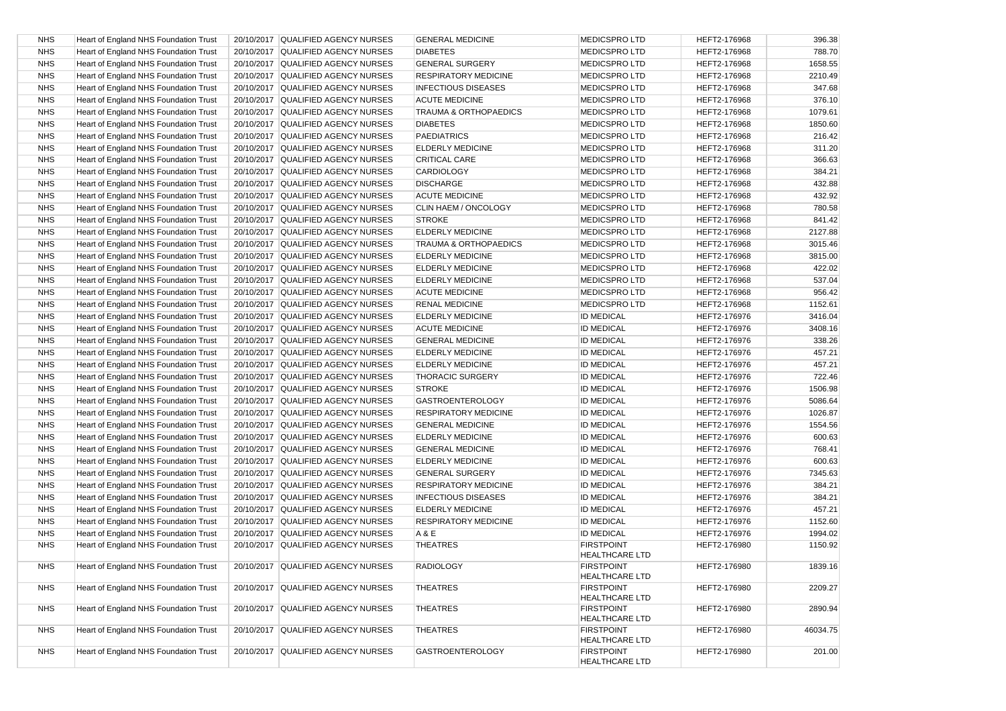| <b>NHS</b> | Heart of England NHS Foundation Trust | 20/10/2017 QUALIFIED AGENCY NURSES | <b>GENERAL MEDICINE</b>          | <b>MEDICSPRO LTD</b>                       | HEFT2-176968 | 396.38             |
|------------|---------------------------------------|------------------------------------|----------------------------------|--------------------------------------------|--------------|--------------------|
| <b>NHS</b> | Heart of England NHS Foundation Trust | 20/10/2017 QUALIFIED AGENCY NURSES | <b>DIABETES</b>                  | <b>MEDICSPRO LTD</b>                       | HEFT2-176968 | 788.70             |
| <b>NHS</b> | Heart of England NHS Foundation Trust | 20/10/2017 QUALIFIED AGENCY NURSES | <b>GENERAL SURGERY</b>           | <b>MEDICSPRO LTD</b>                       | HEFT2-176968 | 1658.55            |
| <b>NHS</b> | Heart of England NHS Foundation Trust | 20/10/2017 QUALIFIED AGENCY NURSES | <b>RESPIRATORY MEDICINE</b>      | <b>MEDICSPROLTD</b>                        | HEFT2-176968 | 2210.49            |
| <b>NHS</b> | Heart of England NHS Foundation Trust | 20/10/2017 QUALIFIED AGENCY NURSES | <b>INFECTIOUS DISEASES</b>       | <b>MEDICSPRO LTD</b>                       | HEFT2-176968 | 347.68             |
| <b>NHS</b> | Heart of England NHS Foundation Trust | 20/10/2017 QUALIFIED AGENCY NURSES | <b>ACUTE MEDICINE</b>            | <b>MEDICSPRO LTD</b>                       | HEFT2-176968 | 376.10             |
| <b>NHS</b> | Heart of England NHS Foundation Trust | 20/10/2017 QUALIFIED AGENCY NURSES | <b>TRAUMA &amp; ORTHOPAEDICS</b> | <b>MEDICSPRO LTD</b>                       | HEFT2-176968 | 1079.61            |
| <b>NHS</b> | Heart of England NHS Foundation Trust | 20/10/2017 QUALIFIED AGENCY NURSES | <b>DIABETES</b>                  | <b>MEDICSPROLTD</b>                        | HEFT2-176968 | 1850.60            |
| <b>NHS</b> | Heart of England NHS Foundation Trust | 20/10/2017 QUALIFIED AGENCY NURSES | <b>PAEDIATRICS</b>               | <b>MEDICSPRO LTD</b>                       | HEFT2-176968 | 216.42             |
| <b>NHS</b> | Heart of England NHS Foundation Trust | 20/10/2017 QUALIFIED AGENCY NURSES | <b>ELDERLY MEDICINE</b>          | <b>MEDICSPRO LTD</b>                       | HEFT2-176968 | 311.20             |
| <b>NHS</b> | Heart of England NHS Foundation Trust | 20/10/2017 QUALIFIED AGENCY NURSES | <b>CRITICAL CARE</b>             | <b>MEDICSPROLTD</b>                        | HEFT2-176968 | 366.63             |
| <b>NHS</b> | Heart of England NHS Foundation Trust | 20/10/2017 QUALIFIED AGENCY NURSES | <b>CARDIOLOGY</b>                | <b>MEDICSPROLTD</b>                        | HEFT2-176968 | 384.21             |
| <b>NHS</b> | Heart of England NHS Foundation Trust | 20/10/2017 QUALIFIED AGENCY NURSES | <b>DISCHARGE</b>                 | <b>MEDICSPROLTD</b>                        | HEFT2-176968 | 432.88             |
| <b>NHS</b> | Heart of England NHS Foundation Trust | 20/10/2017 QUALIFIED AGENCY NURSES | <b>ACUTE MEDICINE</b>            | <b>MEDICSPROLTD</b>                        | HEFT2-176968 | 432.92             |
| <b>NHS</b> | Heart of England NHS Foundation Trust | 20/10/2017 QUALIFIED AGENCY NURSES | CLIN HAEM / ONCOLOGY             | <b>MEDICSPROLTD</b>                        | HEFT2-176968 | 780.58             |
| <b>NHS</b> | Heart of England NHS Foundation Trust | 20/10/2017 QUALIFIED AGENCY NURSES | <b>STROKE</b>                    | <b>MEDICSPROLTD</b>                        | HEFT2-176968 | 841.42             |
| <b>NHS</b> | Heart of England NHS Foundation Trust | 20/10/2017 QUALIFIED AGENCY NURSES | <b>ELDERLY MEDICINE</b>          | <b>MEDICSPROLTD</b>                        | HEFT2-176968 | 2127.88            |
| <b>NHS</b> | Heart of England NHS Foundation Trust | 20/10/2017 QUALIFIED AGENCY NURSES | TRAUMA & ORTHOPAEDICS            | <b>MEDICSPROLTD</b>                        | HEFT2-176968 | 3015.46            |
| <b>NHS</b> | Heart of England NHS Foundation Trust | 20/10/2017 QUALIFIED AGENCY NURSES | <b>ELDERLY MEDICINE</b>          | <b>MEDICSPROLTD</b>                        | HEFT2-176968 | 3815.00            |
| <b>NHS</b> | Heart of England NHS Foundation Trust | 20/10/2017 QUALIFIED AGENCY NURSES | <b>ELDERLY MEDICINE</b>          | <b>MEDICSPROLTD</b>                        | HEFT2-176968 | 422.02             |
| <b>NHS</b> | Heart of England NHS Foundation Trust | 20/10/2017 QUALIFIED AGENCY NURSES | <b>ELDERLY MEDICINE</b>          | <b>MEDICSPRO LTD</b>                       | HEFT2-176968 | 537.04             |
| <b>NHS</b> | Heart of England NHS Foundation Trust | 20/10/2017 QUALIFIED AGENCY NURSES | <b>ACUTE MEDICINE</b>            | <b>MEDICSPROLTD</b>                        | HEFT2-176968 | 956.42             |
| <b>NHS</b> | Heart of England NHS Foundation Trust | 20/10/2017 QUALIFIED AGENCY NURSES | <b>RENAL MEDICINE</b>            | <b>MEDICSPROLTD</b>                        | HEFT2-176968 | 1152.61            |
| <b>NHS</b> | Heart of England NHS Foundation Trust | 20/10/2017 QUALIFIED AGENCY NURSES | <b>ELDERLY MEDICINE</b>          | <b>ID MEDICAL</b>                          | HEFT2-176976 | 3416.04            |
| <b>NHS</b> | Heart of England NHS Foundation Trust | 20/10/2017 QUALIFIED AGENCY NURSES | <b>ACUTE MEDICINE</b>            | <b>ID MEDICAL</b>                          | HEFT2-176976 | 3408.16            |
| <b>NHS</b> | Heart of England NHS Foundation Trust | 20/10/2017 QUALIFIED AGENCY NURSES | <b>GENERAL MEDICINE</b>          | <b>ID MEDICAL</b>                          | HEFT2-176976 | 338.26             |
| <b>NHS</b> | Heart of England NHS Foundation Trust | 20/10/2017 QUALIFIED AGENCY NURSES | <b>ELDERLY MEDICINE</b>          | <b>ID MEDICAL</b>                          | HEFT2-176976 | 457.21             |
| <b>NHS</b> | Heart of England NHS Foundation Trust | 20/10/2017 QUALIFIED AGENCY NURSES | <b>ELDERLY MEDICINE</b>          | <b>ID MEDICAL</b>                          | HEFT2-176976 | 457.21             |
| <b>NHS</b> | Heart of England NHS Foundation Trust | 20/10/2017 QUALIFIED AGENCY NURSES | <b>THORACIC SURGERY</b>          | <b>ID MEDICAL</b>                          | HEFT2-176976 | 722.46             |
| <b>NHS</b> | Heart of England NHS Foundation Trust | 20/10/2017 QUALIFIED AGENCY NURSES | <b>STROKE</b>                    | <b>ID MEDICAL</b>                          | HEFT2-176976 | 1506.98            |
| <b>NHS</b> |                                       |                                    |                                  |                                            |              |                    |
| <b>NHS</b> | Heart of England NHS Foundation Trust | 20/10/2017 QUALIFIED AGENCY NURSES | <b>GASTROENTEROLOGY</b>          | <b>ID MEDICAL</b>                          | HEFT2-176976 | 5086.64<br>1026.87 |
|            | Heart of England NHS Foundation Trust | 20/10/2017 QUALIFIED AGENCY NURSES | <b>RESPIRATORY MEDICINE</b>      | <b>ID MEDICAL</b>                          | HEFT2-176976 |                    |
| <b>NHS</b> | Heart of England NHS Foundation Trust | 20/10/2017 QUALIFIED AGENCY NURSES | <b>GENERAL MEDICINE</b>          | <b>ID MEDICAL</b>                          | HEFT2-176976 | 1554.56            |
| <b>NHS</b> | Heart of England NHS Foundation Trust | 20/10/2017 QUALIFIED AGENCY NURSES | <b>ELDERLY MEDICINE</b>          | <b>ID MEDICAL</b>                          | HEFT2-176976 | 600.63             |
| <b>NHS</b> | Heart of England NHS Foundation Trust | 20/10/2017 QUALIFIED AGENCY NURSES | <b>GENERAL MEDICINE</b>          | <b>ID MEDICAL</b>                          | HEFT2-176976 | 768.41             |
| <b>NHS</b> | Heart of England NHS Foundation Trust | 20/10/2017 QUALIFIED AGENCY NURSES | <b>ELDERLY MEDICINE</b>          | <b>ID MEDICAL</b>                          | HEFT2-176976 | 600.63             |
| <b>NHS</b> | Heart of England NHS Foundation Trust | 20/10/2017 QUALIFIED AGENCY NURSES | <b>GENERAL SURGERY</b>           | <b>ID MEDICAL</b>                          | HEFT2-176976 | 7345.63            |
| <b>NHS</b> | Heart of England NHS Foundation Trust | 20/10/2017 QUALIFIED AGENCY NURSES | <b>RESPIRATORY MEDICINE</b>      | <b>ID MEDICAL</b>                          | HEFT2-176976 | 384.21             |
| <b>NHS</b> | Heart of England NHS Foundation Trust | 20/10/2017 QUALIFIED AGENCY NURSES | <b>INFECTIOUS DISEASES</b>       | <b>ID MEDICAL</b>                          | HEFT2-176976 | 384.21             |
| <b>NHS</b> | Heart of England NHS Foundation Trust | 20/10/2017 QUALIFIED AGENCY NURSES | <b>ELDERLY MEDICINE</b>          | <b>ID MEDICAL</b>                          | HEFT2-176976 | 457.21             |
| <b>NHS</b> | Heart of England NHS Foundation Trust | 20/10/2017 QUALIFIED AGENCY NURSES | <b>RESPIRATORY MEDICINE</b>      | <b>ID MEDICAL</b>                          | HEFT2-176976 | 1152.60            |
| <b>NHS</b> | Heart of England NHS Foundation Trust | 20/10/2017 QUALIFIED AGENCY NURSES | A & E                            | <b>ID MEDICAL</b>                          | HEFT2-176976 | 1994.02            |
| <b>NHS</b> | Heart of England NHS Foundation Trust | 20/10/2017 QUALIFIED AGENCY NURSES | <b>THEATRES</b>                  | <b>FIRSTPOINT</b><br><b>HEALTHCARE LTD</b> | HEFT2-176980 | 1150.92            |
| <b>NHS</b> | Heart of England NHS Foundation Trust | 20/10/2017 QUALIFIED AGENCY NURSES | <b>RADIOLOGY</b>                 | <b>FIRSTPOINT</b><br><b>HEALTHCARE LTD</b> | HEFT2-176980 | 1839.16            |
| <b>NHS</b> | Heart of England NHS Foundation Trust | 20/10/2017 QUALIFIED AGENCY NURSES | <b>THEATRES</b>                  | <b>FIRSTPOINT</b><br><b>HEALTHCARE LTD</b> | HEFT2-176980 | 2209.27            |
| <b>NHS</b> | Heart of England NHS Foundation Trust | 20/10/2017 QUALIFIED AGENCY NURSES | <b>THEATRES</b>                  | <b>FIRSTPOINT</b><br><b>HEALTHCARE LTD</b> | HEFT2-176980 | 2890.94            |
| <b>NHS</b> | Heart of England NHS Foundation Trust | 20/10/2017 QUALIFIED AGENCY NURSES | <b>THEATRES</b>                  | <b>FIRSTPOINT</b><br><b>HEALTHCARE LTD</b> | HEFT2-176980 | 46034.75           |
| <b>NHS</b> | Heart of England NHS Foundation Trust | 20/10/2017 QUALIFIED AGENCY NURSES | <b>GASTROENTEROLOGY</b>          | <b>FIRSTPOINT</b><br><b>HEALTHCARE LTD</b> | HEFT2-176980 | 201.00             |
|            |                                       |                                    |                                  |                                            |              |                    |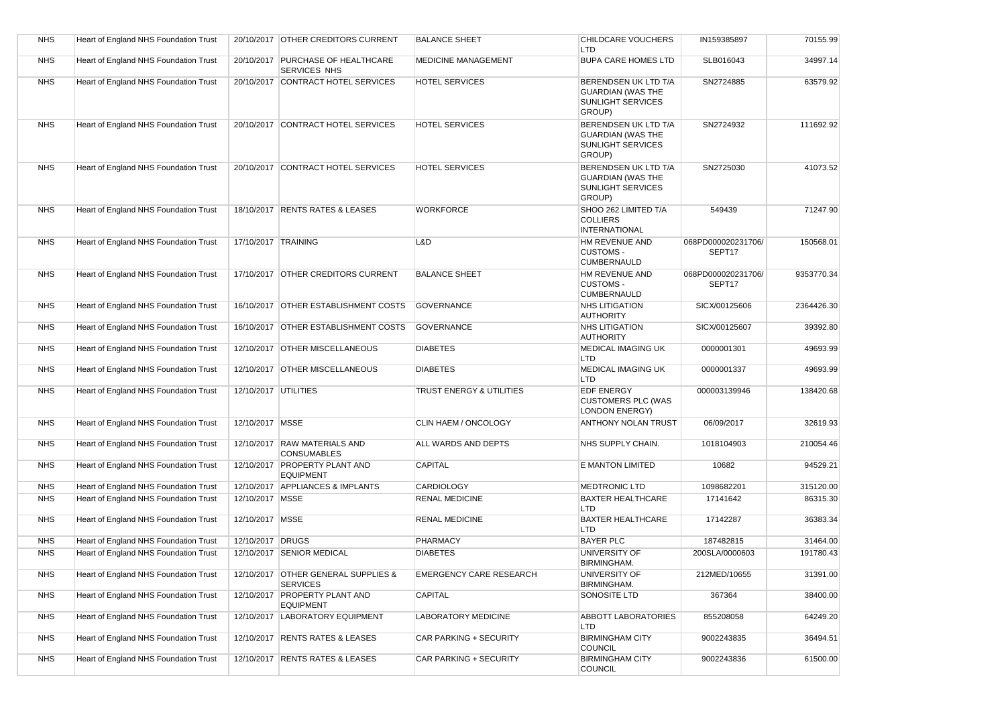| <b>NHS</b> | Heart of England NHS Foundation Trust |                      | 20/10/2017 OTHER CREDITORS CURRENT                     | <b>BALANCE SHEET</b>           | CHILDCARE VOUCHERS<br>LTD                                                              | IN159385897                  | 70155.99   |
|------------|---------------------------------------|----------------------|--------------------------------------------------------|--------------------------------|----------------------------------------------------------------------------------------|------------------------------|------------|
| <b>NHS</b> | Heart of England NHS Foundation Trust |                      | 20/10/2017 PURCHASE OF HEALTHCARE<br>SERVICES NHS      | <b>MEDICINE MANAGEMENT</b>     | <b>BUPA CARE HOMES LTD</b>                                                             | SLB016043                    | 34997.14   |
| <b>NHS</b> | Heart of England NHS Foundation Trust |                      | 20/10/2017 CONTRACT HOTEL SERVICES                     | <b>HOTEL SERVICES</b>          | BERENDSEN UK LTD T/A<br><b>GUARDIAN (WAS THE</b><br><b>SUNLIGHT SERVICES</b><br>GROUP) | SN2724885                    | 63579.92   |
| <b>NHS</b> | Heart of England NHS Foundation Trust |                      | 20/10/2017 CONTRACT HOTEL SERVICES                     | <b>HOTEL SERVICES</b>          | BERENDSEN UK LTD T/A<br><b>GUARDIAN (WAS THE</b><br><b>SUNLIGHT SERVICES</b><br>GROUP) | SN2724932                    | 111692.92  |
| <b>NHS</b> | Heart of England NHS Foundation Trust |                      | 20/10/2017 CONTRACT HOTEL SERVICES                     | <b>HOTEL SERVICES</b>          | BERENDSEN UK LTD T/A<br><b>GUARDIAN (WAS THE</b><br>SUNLIGHT SERVICES<br>GROUP)        | SN2725030                    | 41073.52   |
| <b>NHS</b> | Heart of England NHS Foundation Trust |                      | 18/10/2017 RENTS RATES & LEASES                        | <b>WORKFORCE</b>               | SHOO 262 LIMITED T/A<br><b>COLLIERS</b><br><b>INTERNATIONAL</b>                        | 549439                       | 71247.90   |
| <b>NHS</b> | Heart of England NHS Foundation Trust | 17/10/2017 TRAINING  |                                                        | L&D                            | HM REVENUE AND<br><b>CUSTOMS -</b><br><b>CUMBERNAULD</b>                               | 068PD000020231706/<br>SEPT17 | 150568.01  |
| <b>NHS</b> | Heart of England NHS Foundation Trust |                      | 17/10/2017 OTHER CREDITORS CURRENT                     | <b>BALANCE SHEET</b>           | <b>HM REVENUE AND</b><br><b>CUSTOMS -</b><br>CUMBERNAULD                               | 068PD000020231706/<br>SEPT17 | 9353770.34 |
| <b>NHS</b> | Heart of England NHS Foundation Trust |                      | 16/10/2017 OTHER ESTABLISHMENT COSTS                   | <b>GOVERNANCE</b>              | <b>NHS LITIGATION</b><br><b>AUTHORITY</b>                                              | SICX/00125606                | 2364426.30 |
| <b>NHS</b> | Heart of England NHS Foundation Trust |                      | 16/10/2017 OTHER ESTABLISHMENT COSTS                   | <b>GOVERNANCE</b>              | <b>NHS LITIGATION</b><br><b>AUTHORITY</b>                                              | SICX/00125607                | 39392.80   |
| <b>NHS</b> | Heart of England NHS Foundation Trust |                      | 12/10/2017 OTHER MISCELLANEOUS                         | <b>DIABETES</b>                | <b>MEDICAL IMAGING UK</b><br>LTD                                                       | 0000001301                   | 49693.99   |
| <b>NHS</b> | Heart of England NHS Foundation Trust |                      | 12/10/2017 OTHER MISCELLANEOUS                         | <b>DIABETES</b>                | <b>MEDICAL IMAGING UK</b><br>LTD                                                       | 0000001337                   | 49693.99   |
| <b>NHS</b> | Heart of England NHS Foundation Trust | 12/10/2017 UTILITIES |                                                        | TRUST ENERGY & UTILITIES       | <b>EDF ENERGY</b><br><b>CUSTOMERS PLC (WAS</b><br><b>LONDON ENERGY)</b>                | 000003139946                 | 138420.68  |
| <b>NHS</b> | Heart of England NHS Foundation Trust | 12/10/2017 MSSE      |                                                        | CLIN HAEM / ONCOLOGY           | <b>ANTHONY NOLAN TRUST</b>                                                             | 06/09/2017                   | 32619.93   |
| <b>NHS</b> | Heart of England NHS Foundation Trust |                      | 12/10/2017 RAW MATERIALS AND<br><b>CONSUMABLES</b>     | ALL WARDS AND DEPTS            | NHS SUPPLY CHAIN.                                                                      | 1018104903                   | 210054.46  |
| <b>NHS</b> | Heart of England NHS Foundation Trust |                      | 12/10/2017 PROPERTY PLANT AND<br><b>EQUIPMENT</b>      | <b>CAPITAL</b>                 | E MANTON LIMITED                                                                       | 10682                        | 94529.21   |
| <b>NHS</b> | Heart of England NHS Foundation Trust |                      | 12/10/2017 APPLIANCES & IMPLANTS                       | <b>CARDIOLOGY</b>              | <b>MEDTRONIC LTD</b>                                                                   | 1098682201                   | 315120.00  |
| <b>NHS</b> | Heart of England NHS Foundation Trust | 12/10/2017   MSSE    |                                                        | <b>RENAL MEDICINE</b>          | <b>BAXTER HEALTHCARE</b><br>LTD                                                        | 17141642                     | 86315.30   |
| <b>NHS</b> | Heart of England NHS Foundation Trust | 12/10/2017   MSSE    |                                                        | <b>RENAL MEDICINE</b>          | <b>BAXTER HEALTHCARE</b><br>LTD                                                        | 17142287                     | 36383.34   |
| <b>NHS</b> | Heart of England NHS Foundation Trust | 12/10/2017 DRUGS     |                                                        | <b>PHARMACY</b>                | <b>BAYER PLC</b>                                                                       | 187482815                    | 31464.00   |
| <b>NHS</b> | Heart of England NHS Foundation Trust |                      | 12/10/2017 SENIOR MEDICAL                              | <b>DIABETES</b>                | UNIVERSITY OF<br><b>BIRMINGHAM.</b>                                                    | 200SLA/0000603               | 191780.43  |
| <b>NHS</b> | Heart of England NHS Foundation Trust |                      | 12/10/2017 OTHER GENERAL SUPPLIES &<br><b>SERVICES</b> | <b>EMERGENCY CARE RESEARCH</b> | UNIVERSITY OF<br>BIRMINGHAM.                                                           | 212MED/10655                 | 31391.00   |
| <b>NHS</b> | Heart of England NHS Foundation Trust |                      | 12/10/2017 PROPERTY PLANT AND<br><b>EQUIPMENT</b>      | <b>CAPITAL</b>                 | SONOSITE LTD                                                                           | 367364                       | 38400.00   |
| <b>NHS</b> | Heart of England NHS Foundation Trust |                      | 12/10/2017 LABORATORY EQUIPMENT                        | LABORATORY MEDICINE            | ABBOTT LABORATORIES<br><b>LTD</b>                                                      | 855208058                    | 64249.20   |
| <b>NHS</b> | Heart of England NHS Foundation Trust |                      | 12/10/2017 RENTS RATES & LEASES                        | CAR PARKING + SECURITY         | <b>BIRMINGHAM CITY</b><br><b>COUNCIL</b>                                               | 9002243835                   | 36494.51   |
| <b>NHS</b> | Heart of England NHS Foundation Trust |                      | 12/10/2017 RENTS RATES & LEASES                        | CAR PARKING + SECURITY         | <b>BIRMINGHAM CITY</b><br>COUNCIL                                                      | 9002243836                   | 61500.00   |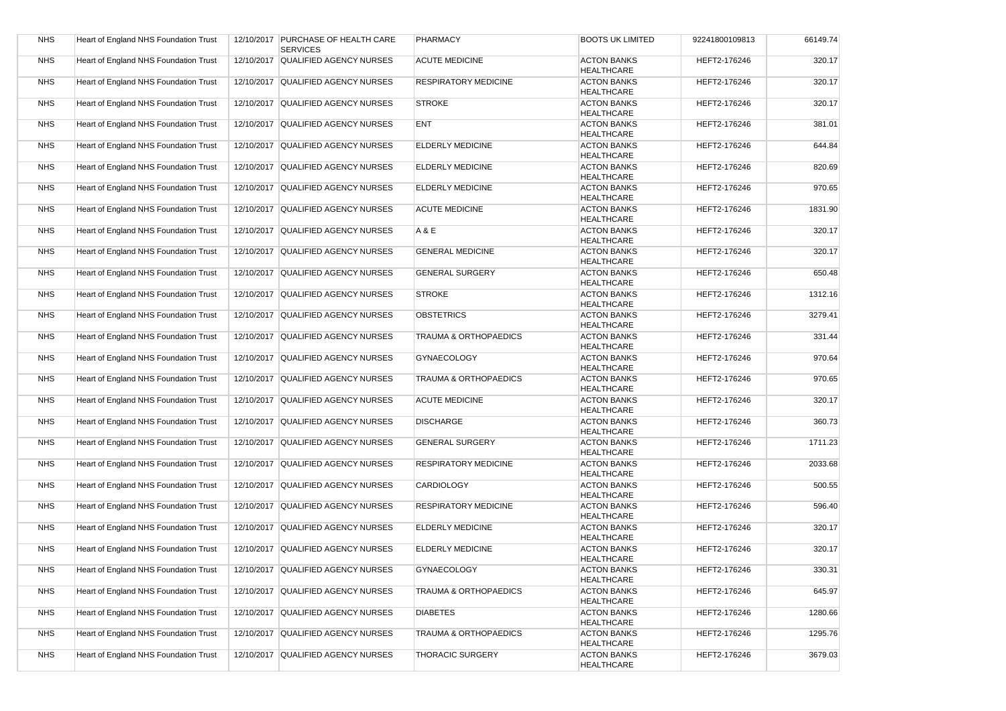| <b>NHS</b> | Heart of England NHS Foundation Trust | 12/10/2017 PURCHASE OF HEALTH CARE<br><b>SERVICES</b> | PHARMACY                         | <b>BOOTS UK LIMITED</b>                 | 92241800109813 | 66149.74 |
|------------|---------------------------------------|-------------------------------------------------------|----------------------------------|-----------------------------------------|----------------|----------|
| <b>NHS</b> | Heart of England NHS Foundation Trust | 12/10/2017 QUALIFIED AGENCY NURSES                    | <b>ACUTE MEDICINE</b>            | <b>ACTON BANKS</b><br><b>HEALTHCARE</b> | HEFT2-176246   | 320.17   |
| <b>NHS</b> | Heart of England NHS Foundation Trust | 12/10/2017 QUALIFIED AGENCY NURSES                    | <b>RESPIRATORY MEDICINE</b>      | <b>ACTON BANKS</b><br><b>HEALTHCARE</b> | HEFT2-176246   | 320.17   |
| <b>NHS</b> | Heart of England NHS Foundation Trust | 12/10/2017 QUALIFIED AGENCY NURSES                    | <b>STROKE</b>                    | <b>ACTON BANKS</b><br><b>HEALTHCARE</b> | HEFT2-176246   | 320.17   |
| <b>NHS</b> | Heart of England NHS Foundation Trust | 12/10/2017 QUALIFIED AGENCY NURSES                    | <b>ENT</b>                       | <b>ACTON BANKS</b><br><b>HEALTHCARE</b> | HEFT2-176246   | 381.01   |
| <b>NHS</b> | Heart of England NHS Foundation Trust | 12/10/2017 QUALIFIED AGENCY NURSES                    | <b>ELDERLY MEDICINE</b>          | <b>ACTON BANKS</b><br><b>HEALTHCARE</b> | HEFT2-176246   | 644.84   |
| <b>NHS</b> | Heart of England NHS Foundation Trust | 12/10/2017 QUALIFIED AGENCY NURSES                    | <b>ELDERLY MEDICINE</b>          | <b>ACTON BANKS</b><br><b>HEALTHCARE</b> | HEFT2-176246   | 820.69   |
| <b>NHS</b> | Heart of England NHS Foundation Trust | 12/10/2017 QUALIFIED AGENCY NURSES                    | <b>ELDERLY MEDICINE</b>          | <b>ACTON BANKS</b><br><b>HEALTHCARE</b> | HEFT2-176246   | 970.65   |
| <b>NHS</b> | Heart of England NHS Foundation Trust | 12/10/2017 QUALIFIED AGENCY NURSES                    | <b>ACUTE MEDICINE</b>            | <b>ACTON BANKS</b><br><b>HEALTHCARE</b> | HEFT2-176246   | 1831.90  |
| <b>NHS</b> | Heart of England NHS Foundation Trust | 12/10/2017 QUALIFIED AGENCY NURSES                    | A & E                            | <b>ACTON BANKS</b><br><b>HEALTHCARE</b> | HEFT2-176246   | 320.17   |
| <b>NHS</b> | Heart of England NHS Foundation Trust | 12/10/2017 QUALIFIED AGENCY NURSES                    | <b>GENERAL MEDICINE</b>          | <b>ACTON BANKS</b><br><b>HEALTHCARE</b> | HEFT2-176246   | 320.17   |
| <b>NHS</b> | Heart of England NHS Foundation Trust | 12/10/2017 QUALIFIED AGENCY NURSES                    | <b>GENERAL SURGERY</b>           | <b>ACTON BANKS</b><br><b>HEALTHCARE</b> | HEFT2-176246   | 650.48   |
| <b>NHS</b> | Heart of England NHS Foundation Trust | 12/10/2017 QUALIFIED AGENCY NURSES                    | <b>STROKE</b>                    | <b>ACTON BANKS</b><br><b>HEALTHCARE</b> | HEFT2-176246   | 1312.16  |
| <b>NHS</b> | Heart of England NHS Foundation Trust | 12/10/2017 QUALIFIED AGENCY NURSES                    | <b>OBSTETRICS</b>                | <b>ACTON BANKS</b><br><b>HEALTHCARE</b> | HEFT2-176246   | 3279.41  |
| <b>NHS</b> | Heart of England NHS Foundation Trust | 12/10/2017 QUALIFIED AGENCY NURSES                    | <b>TRAUMA &amp; ORTHOPAEDICS</b> | <b>ACTON BANKS</b><br><b>HEALTHCARE</b> | HEFT2-176246   | 331.44   |
| <b>NHS</b> | Heart of England NHS Foundation Trust | 12/10/2017 QUALIFIED AGENCY NURSES                    | <b>GYNAECOLOGY</b>               | <b>ACTON BANKS</b><br><b>HEALTHCARE</b> | HEFT2-176246   | 970.64   |
| <b>NHS</b> | Heart of England NHS Foundation Trust | 12/10/2017 QUALIFIED AGENCY NURSES                    | <b>TRAUMA &amp; ORTHOPAEDICS</b> | <b>ACTON BANKS</b><br><b>HEALTHCARE</b> | HEFT2-176246   | 970.65   |
| <b>NHS</b> | Heart of England NHS Foundation Trust | 12/10/2017 QUALIFIED AGENCY NURSES                    | <b>ACUTE MEDICINE</b>            | <b>ACTON BANKS</b><br><b>HEALTHCARE</b> | HEFT2-176246   | 320.17   |
| <b>NHS</b> | Heart of England NHS Foundation Trust | 12/10/2017 QUALIFIED AGENCY NURSES                    | <b>DISCHARGE</b>                 | <b>ACTON BANKS</b><br><b>HEALTHCARE</b> | HEFT2-176246   | 360.73   |
| <b>NHS</b> | Heart of England NHS Foundation Trust | 12/10/2017 QUALIFIED AGENCY NURSES                    | <b>GENERAL SURGERY</b>           | <b>ACTON BANKS</b><br><b>HEALTHCARE</b> | HEFT2-176246   | 1711.23  |
| <b>NHS</b> | Heart of England NHS Foundation Trust | 12/10/2017 QUALIFIED AGENCY NURSES                    | <b>RESPIRATORY MEDICINE</b>      | <b>ACTON BANKS</b><br><b>HEALTHCARE</b> | HEFT2-176246   | 2033.68  |
| <b>NHS</b> | Heart of England NHS Foundation Trust | 12/10/2017 QUALIFIED AGENCY NURSES                    | <b>CARDIOLOGY</b>                | <b>ACTON BANKS</b><br><b>HEALTHCARE</b> | HEFT2-176246   | 500.55   |
| <b>NHS</b> | Heart of England NHS Foundation Trust | 12/10/2017 QUALIFIED AGENCY NURSES                    | <b>RESPIRATORY MEDICINE</b>      | <b>ACTON BANKS</b><br><b>HEALTHCARE</b> | HEFT2-176246   | 596.40   |
| <b>NHS</b> | Heart of England NHS Foundation Trust | 12/10/2017 QUALIFIED AGENCY NURSES                    | <b>ELDERLY MEDICINE</b>          | <b>ACTON BANKS</b><br><b>HEALTHCARE</b> | HEFT2-176246   | 320.17   |
| <b>NHS</b> | Heart of England NHS Foundation Trust | 12/10/2017 QUALIFIED AGENCY NURSES                    | <b>ELDERLY MEDICINE</b>          | <b>ACTON BANKS</b><br><b>HEALTHCARE</b> | HEFT2-176246   | 320.17   |
| <b>NHS</b> | Heart of England NHS Foundation Trust | 12/10/2017 QUALIFIED AGENCY NURSES                    | GYNAECOLOGY                      | <b>ACTON BANKS</b><br><b>HEALTHCARE</b> | HEFT2-176246   | 330.31   |
| <b>NHS</b> | Heart of England NHS Foundation Trust | 12/10/2017 QUALIFIED AGENCY NURSES                    | TRAUMA & ORTHOPAEDICS            | <b>ACTON BANKS</b><br><b>HEALTHCARE</b> | HEFT2-176246   | 645.97   |
| <b>NHS</b> | Heart of England NHS Foundation Trust | 12/10/2017 QUALIFIED AGENCY NURSES                    | <b>DIABETES</b>                  | <b>ACTON BANKS</b><br><b>HEALTHCARE</b> | HEFT2-176246   | 1280.66  |
| <b>NHS</b> | Heart of England NHS Foundation Trust | 12/10/2017 QUALIFIED AGENCY NURSES                    | TRAUMA & ORTHOPAEDICS            | <b>ACTON BANKS</b><br><b>HEALTHCARE</b> | HEFT2-176246   | 1295.76  |
| <b>NHS</b> | Heart of England NHS Foundation Trust | 12/10/2017 QUALIFIED AGENCY NURSES                    | THORACIC SURGERY                 | <b>ACTON BANKS</b><br><b>HEALTHCARE</b> | HEFT2-176246   | 3679.03  |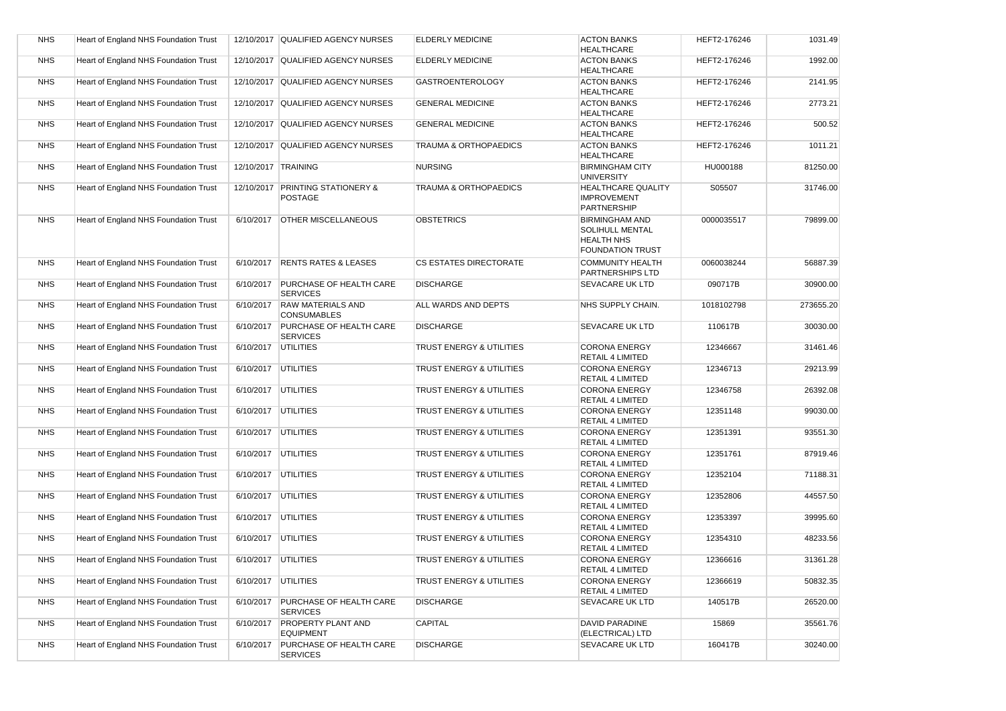| <b>NHS</b> | Heart of England NHS Foundation Trust |                       | 12/10/2017 QUALIFIED AGENCY NURSES                 | <b>ELDERLY MEDICINE</b>             | <b>ACTON BANKS</b><br><b>HEALTHCARE</b>                                                  | HEFT2-176246 | 1031.49   |
|------------|---------------------------------------|-----------------------|----------------------------------------------------|-------------------------------------|------------------------------------------------------------------------------------------|--------------|-----------|
| <b>NHS</b> | Heart of England NHS Foundation Trust |                       | 12/10/2017 QUALIFIED AGENCY NURSES                 | <b>ELDERLY MEDICINE</b>             | <b>ACTON BANKS</b><br><b>HEALTHCARE</b>                                                  | HEFT2-176246 | 1992.00   |
| <b>NHS</b> | Heart of England NHS Foundation Trust |                       | 12/10/2017 QUALIFIED AGENCY NURSES                 | <b>GASTROENTEROLOGY</b>             | <b>ACTON BANKS</b><br><b>HEALTHCARE</b>                                                  | HEFT2-176246 | 2141.95   |
| <b>NHS</b> | Heart of England NHS Foundation Trust |                       | 12/10/2017 QUALIFIED AGENCY NURSES                 | <b>GENERAL MEDICINE</b>             | <b>ACTON BANKS</b><br><b>HEALTHCARE</b>                                                  | HEFT2-176246 | 2773.21   |
| <b>NHS</b> | Heart of England NHS Foundation Trust |                       | 12/10/2017 QUALIFIED AGENCY NURSES                 | <b>GENERAL MEDICINE</b>             | <b>ACTON BANKS</b><br><b>HEALTHCARE</b>                                                  | HEFT2-176246 | 500.52    |
| <b>NHS</b> | Heart of England NHS Foundation Trust |                       | 12/10/2017 QUALIFIED AGENCY NURSES                 | <b>TRAUMA &amp; ORTHOPAEDICS</b>    | <b>ACTON BANKS</b><br><b>HEALTHCARE</b>                                                  | HEFT2-176246 | 1011.21   |
| <b>NHS</b> | Heart of England NHS Foundation Trust | 12/10/2017 TRAINING   |                                                    | <b>NURSING</b>                      | <b>BIRMINGHAM CITY</b><br><b>UNIVERSITY</b>                                              | HU000188     | 81250.00  |
| <b>NHS</b> | Heart of England NHS Foundation Trust |                       | 12/10/2017 PRINTING STATIONERY &<br><b>POSTAGE</b> | <b>TRAUMA &amp; ORTHOPAEDICS</b>    | <b>HEALTHCARE QUALITY</b><br><b>IMPROVEMENT</b><br>PARTNERSHIP                           | S05507       | 31746.00  |
| <b>NHS</b> | Heart of England NHS Foundation Trust | 6/10/2017             | <b>OTHER MISCELLANEOUS</b>                         | <b>OBSTETRICS</b>                   | <b>BIRMINGHAM AND</b><br>SOLIHULL MENTAL<br><b>HEALTH NHS</b><br><b>FOUNDATION TRUST</b> | 0000035517   | 79899.00  |
| <b>NHS</b> | Heart of England NHS Foundation Trust | 6/10/2017             | <b>RENTS RATES &amp; LEASES</b>                    | <b>CS ESTATES DIRECTORATE</b>       | <b>COMMUNITY HEALTH</b><br>PARTNERSHIPS LTD                                              | 0060038244   | 56887.39  |
| <b>NHS</b> | Heart of England NHS Foundation Trust | 6/10/2017             | <b>PURCHASE OF HEALTH CARE</b><br><b>SERVICES</b>  | <b>DISCHARGE</b>                    | SEVACARE UK LTD                                                                          | 090717B      | 30900.00  |
| <b>NHS</b> | Heart of England NHS Foundation Trust | 6/10/2017             | <b>RAW MATERIALS AND</b><br><b>CONSUMABLES</b>     | ALL WARDS AND DEPTS                 | NHS SUPPLY CHAIN.                                                                        | 1018102798   | 273655.20 |
| <b>NHS</b> | Heart of England NHS Foundation Trust | 6/10/2017             | PURCHASE OF HEALTH CARE<br><b>SERVICES</b>         | <b>DISCHARGE</b>                    | SEVACARE UK LTD                                                                          | 110617B      | 30030.00  |
| <b>NHS</b> | Heart of England NHS Foundation Trust | 6/10/2017             | <b>UTILITIES</b>                                   | TRUST ENERGY & UTILITIES            | <b>CORONA ENERGY</b><br><b>RETAIL 4 LIMITED</b>                                          | 12346667     | 31461.46  |
| <b>NHS</b> | Heart of England NHS Foundation Trust | 6/10/2017             | <b>UTILITIES</b>                                   | TRUST ENERGY & UTILITIES            | <b>CORONA ENERGY</b><br><b>RETAIL 4 LIMITED</b>                                          | 12346713     | 29213.99  |
| <b>NHS</b> | Heart of England NHS Foundation Trust | 6/10/2017             | <b>UTILITIES</b>                                   | TRUST ENERGY & UTILITIES            | <b>CORONA ENERGY</b><br><b>RETAIL 4 LIMITED</b>                                          | 12346758     | 26392.08  |
| <b>NHS</b> | Heart of England NHS Foundation Trust | 6/10/2017             | <b>UTILITIES</b>                                   | TRUST ENERGY & UTILITIES            | <b>CORONA ENERGY</b><br><b>RETAIL 4 LIMITED</b>                                          | 12351148     | 99030.00  |
| <b>NHS</b> | Heart of England NHS Foundation Trust | 6/10/2017             | UTILITIES                                          | TRUST ENERGY & UTILITIES            | <b>CORONA ENERGY</b><br><b>RETAIL 4 LIMITED</b>                                          | 12351391     | 93551.30  |
| <b>NHS</b> | Heart of England NHS Foundation Trust | 6/10/2017             | <b>UTILITIES</b>                                   | TRUST ENERGY & UTILITIES            | <b>CORONA ENERGY</b><br><b>RETAIL 4 LIMITED</b>                                          | 12351761     | 87919.46  |
| <b>NHS</b> | Heart of England NHS Foundation Trust | 6/10/2017             | <b>UTILITIES</b>                                   | TRUST ENERGY & UTILITIES            | <b>CORONA ENERGY</b><br><b>RETAIL 4 LIMITED</b>                                          | 12352104     | 71188.31  |
| <b>NHS</b> | Heart of England NHS Foundation Trust | 6/10/2017             | <b>UTILITIES</b>                                   | TRUST ENERGY & UTILITIES            | <b>CORONA ENERGY</b><br><b>RETAIL 4 LIMITED</b>                                          | 12352806     | 44557.50  |
| <b>NHS</b> | Heart of England NHS Foundation Trust | 6/10/2017             | UTILITIES                                          | TRUST ENERGY & UTILITIES            | <b>CORONA ENERGY</b><br><b>RETAIL 4 LIMITED</b>                                          | 12353397     | 39995.60  |
| <b>NHS</b> | Heart of England NHS Foundation Trust | 6/10/2017             | <b>UTILITIES</b>                                   | <b>TRUST ENERGY &amp; UTILITIES</b> | <b>CORONA ENERGY</b><br>RETAIL 4 LIMITED                                                 | 12354310     | 48233.56  |
| <b>NHS</b> | Heart of England NHS Foundation Trust | 6/10/2017 UTILITIES   |                                                    | TRUST ENERGY & UTILITIES            | <b>CORONA ENERGY</b><br>RETAIL 4 LIMITED                                                 | 12366616     | 31361.28  |
| <b>NHS</b> | Heart of England NHS Foundation Trust | 6/10/2017   UTILITIES |                                                    | TRUST ENERGY & UTILITIES            | <b>CORONA ENERGY</b><br>RETAIL 4 LIMITED                                                 | 12366619     | 50832.35  |
| <b>NHS</b> | Heart of England NHS Foundation Trust | 6/10/2017             | PURCHASE OF HEALTH CARE<br><b>SERVICES</b>         | <b>DISCHARGE</b>                    | SEVACARE UK LTD                                                                          | 140517B      | 26520.00  |
| <b>NHS</b> | Heart of England NHS Foundation Trust | 6/10/2017             | <b>PROPERTY PLANT AND</b><br><b>EQUIPMENT</b>      | <b>CAPITAL</b>                      | DAVID PARADINE<br>(ELECTRICAL) LTD                                                       | 15869        | 35561.76  |
| <b>NHS</b> | Heart of England NHS Foundation Trust | 6/10/2017             | <b>PURCHASE OF HEALTH CARE</b><br><b>SERVICES</b>  | <b>DISCHARGE</b>                    | SEVACARE UK LTD                                                                          | 160417B      | 30240.00  |